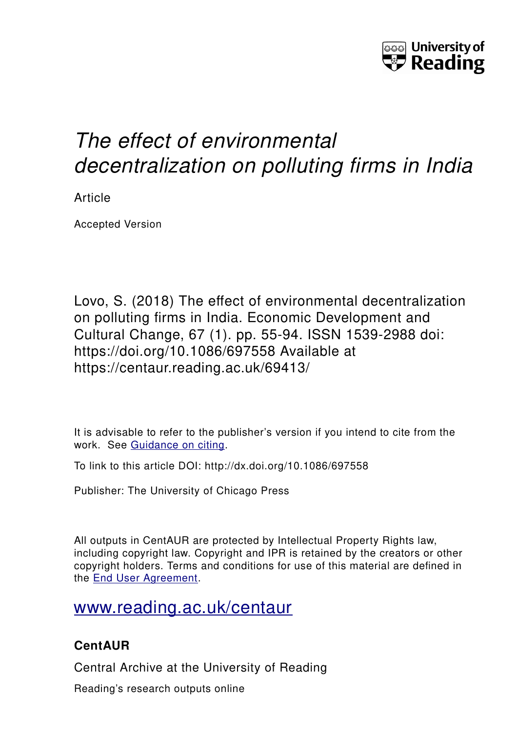

# *The effect of environmental decentralization on polluting firms in India*

Article

Accepted Version

Lovo, S. (2018) The effect of environmental decentralization on polluting firms in India. Economic Development and Cultural Change, 67 (1). pp. 55-94. ISSN 1539-2988 doi: https://doi.org/10.1086/697558 Available at https://centaur.reading.ac.uk/69413/

It is advisable to refer to the publisher's version if you intend to cite from the work. See [Guidance on citing.](http://centaur.reading.ac.uk/71187/10/CentAUR%20citing%20guide.pdf)

To link to this article DOI: http://dx.doi.org/10.1086/697558

Publisher: The University of Chicago Press

All outputs in CentAUR are protected by Intellectual Property Rights law, including copyright law. Copyright and IPR is retained by the creators or other copyright holders. Terms and conditions for use of this material are defined in the [End User Agreement.](http://centaur.reading.ac.uk/licence)

[www.reading.ac.uk/centaur](http://www.reading.ac.uk/centaur)

## **CentAUR**

Central Archive at the University of Reading

Reading's research outputs online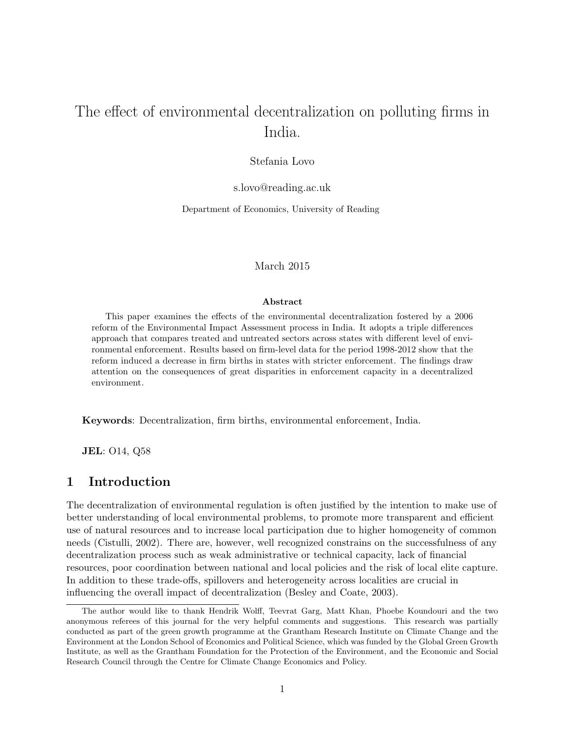# The effect of environmental decentralization on polluting firms in India.

### Stefania Lovo

s.lovo@reading.ac.uk

Department of Economics, University of Reading

March 2015

#### Abstract

This paper examines the effects of the environmental decentralization fostered by a 2006 reform of the Environmental Impact Assessment process in India. It adopts a triple differences approach that compares treated and untreated sectors across states with different level of environmental enforcement. Results based on firm-level data for the period 1998-2012 show that the reform induced a decrease in firm births in states with stricter enforcement. The findings draw attention on the consequences of great disparities in enforcement capacity in a decentralized environment.

Keywords: Decentralization, firm births, environmental enforcement, India.

JEL: O14, Q58

## 1 Introduction

The decentralization of environmental regulation is often justified by the intention to make use of better understanding of local environmental problems, to promote more transparent and efficient use of natural resources and to increase local participation due to higher homogeneity of common needs (Cistulli, 2002). There are, however, well recognized constrains on the successfulness of any decentralization process such as weak administrative or technical capacity, lack of financial resources, poor coordination between national and local policies and the risk of local elite capture. In addition to these trade-offs, spillovers and heterogeneity across localities are crucial in influencing the overall impact of decentralization (Besley and Coate, 2003).

The author would like to thank Hendrik Wolff, Teevrat Garg, Matt Khan, Phoebe Koundouri and the two anonymous referees of this journal for the very helpful comments and suggestions. This research was partially conducted as part of the green growth programme at the Grantham Research Institute on Climate Change and the Environment at the London School of Economics and Political Science, which was funded by the Global Green Growth Institute, as well as the Grantham Foundation for the Protection of the Environment, and the Economic and Social Research Council through the Centre for Climate Change Economics and Policy.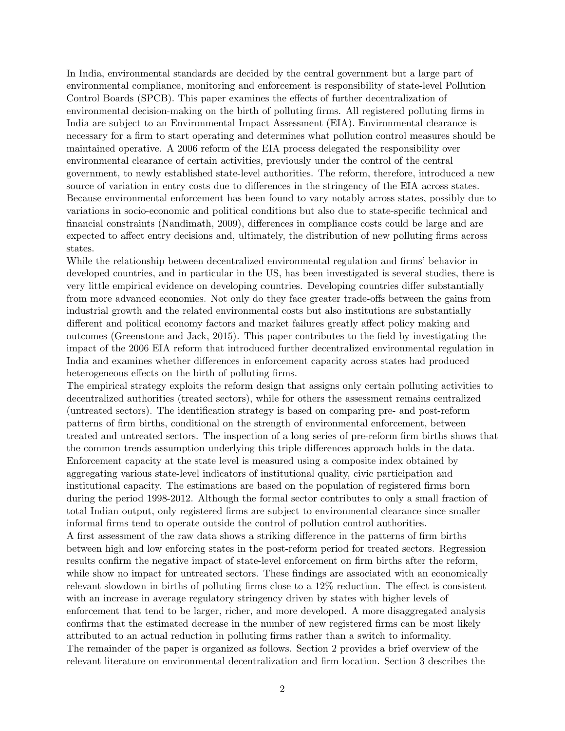In India, environmental standards are decided by the central government but a large part of environmental compliance, monitoring and enforcement is responsibility of state-level Pollution Control Boards (SPCB). This paper examines the effects of further decentralization of environmental decision-making on the birth of polluting firms. All registered polluting firms in India are subject to an Environmental Impact Assessment (EIA). Environmental clearance is necessary for a firm to start operating and determines what pollution control measures should be maintained operative. A 2006 reform of the EIA process delegated the responsibility over environmental clearance of certain activities, previously under the control of the central government, to newly established state-level authorities. The reform, therefore, introduced a new source of variation in entry costs due to differences in the stringency of the EIA across states. Because environmental enforcement has been found to vary notably across states, possibly due to variations in socio-economic and political conditions but also due to state-specific technical and financial constraints (Nandimath, 2009), differences in compliance costs could be large and are expected to affect entry decisions and, ultimately, the distribution of new polluting firms across states.

While the relationship between decentralized environmental regulation and firms' behavior in developed countries, and in particular in the US, has been investigated is several studies, there is very little empirical evidence on developing countries. Developing countries differ substantially from more advanced economies. Not only do they face greater trade-offs between the gains from industrial growth and the related environmental costs but also institutions are substantially different and political economy factors and market failures greatly affect policy making and outcomes (Greenstone and Jack, 2015). This paper contributes to the field by investigating the impact of the 2006 EIA reform that introduced further decentralized environmental regulation in India and examines whether differences in enforcement capacity across states had produced heterogeneous effects on the birth of polluting firms.

The empirical strategy exploits the reform design that assigns only certain polluting activities to decentralized authorities (treated sectors), while for others the assessment remains centralized (untreated sectors). The identification strategy is based on comparing pre- and post-reform patterns of firm births, conditional on the strength of environmental enforcement, between treated and untreated sectors. The inspection of a long series of pre-reform firm births shows that the common trends assumption underlying this triple differences approach holds in the data. Enforcement capacity at the state level is measured using a composite index obtained by aggregating various state-level indicators of institutional quality, civic participation and institutional capacity. The estimations are based on the population of registered firms born during the period 1998-2012. Although the formal sector contributes to only a small fraction of total Indian output, only registered firms are subject to environmental clearance since smaller informal firms tend to operate outside the control of pollution control authorities.

A first assessment of the raw data shows a striking difference in the patterns of firm births between high and low enforcing states in the post-reform period for treated sectors. Regression results confirm the negative impact of state-level enforcement on firm births after the reform, while show no impact for untreated sectors. These findings are associated with an economically relevant slowdown in births of polluting firms close to a 12% reduction. The effect is consistent with an increase in average regulatory stringency driven by states with higher levels of enforcement that tend to be larger, richer, and more developed. A more disaggregated analysis confirms that the estimated decrease in the number of new registered firms can be most likely attributed to an actual reduction in polluting firms rather than a switch to informality. The remainder of the paper is organized as follows. Section 2 provides a brief overview of the relevant literature on environmental decentralization and firm location. Section 3 describes the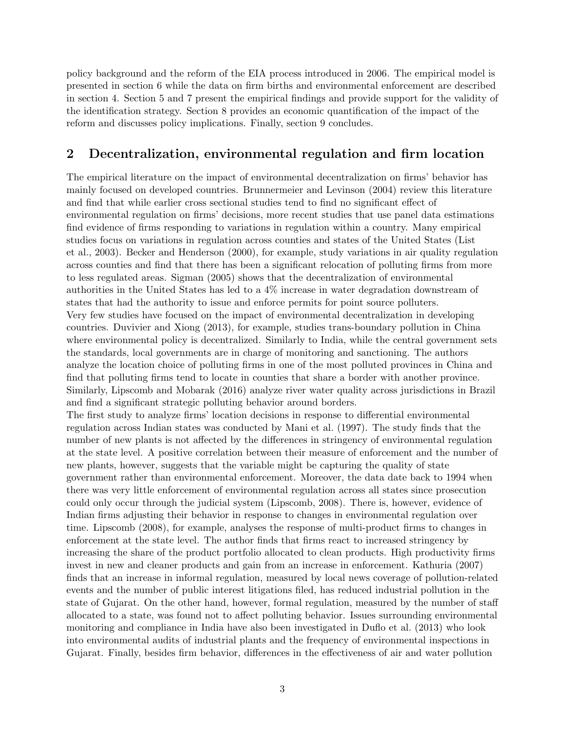policy background and the reform of the EIA process introduced in 2006. The empirical model is presented in section 6 while the data on firm births and environmental enforcement are described in section 4. Section 5 and 7 present the empirical findings and provide support for the validity of the identification strategy. Section 8 provides an economic quantification of the impact of the reform and discusses policy implications. Finally, section 9 concludes.

## 2 Decentralization, environmental regulation and firm location

The empirical literature on the impact of environmental decentralization on firms' behavior has mainly focused on developed countries. Brunnermeier and Levinson (2004) review this literature and find that while earlier cross sectional studies tend to find no significant effect of environmental regulation on firms' decisions, more recent studies that use panel data estimations find evidence of firms responding to variations in regulation within a country. Many empirical studies focus on variations in regulation across counties and states of the United States (List et al., 2003). Becker and Henderson (2000), for example, study variations in air quality regulation across counties and find that there has been a significant relocation of polluting firms from more to less regulated areas. Sigman (2005) shows that the decentralization of environmental authorities in the United States has led to a 4% increase in water degradation downstream of states that had the authority to issue and enforce permits for point source polluters. Very few studies have focused on the impact of environmental decentralization in developing countries. Duvivier and Xiong (2013), for example, studies trans-boundary pollution in China where environmental policy is decentralized. Similarly to India, while the central government sets the standards, local governments are in charge of monitoring and sanctioning. The authors analyze the location choice of polluting firms in one of the most polluted provinces in China and find that polluting firms tend to locate in counties that share a border with another province. Similarly, Lipscomb and Mobarak (2016) analyze river water quality across jurisdictions in Brazil and find a significant strategic polluting behavior around borders.

The first study to analyze firms' location decisions in response to differential environmental regulation across Indian states was conducted by Mani et al. (1997). The study finds that the number of new plants is not affected by the differences in stringency of environmental regulation at the state level. A positive correlation between their measure of enforcement and the number of new plants, however, suggests that the variable might be capturing the quality of state government rather than environmental enforcement. Moreover, the data date back to 1994 when there was very little enforcement of environmental regulation across all states since prosecution could only occur through the judicial system (Lipscomb, 2008). There is, however, evidence of Indian firms adjusting their behavior in response to changes in environmental regulation over time. Lipscomb (2008), for example, analyses the response of multi-product firms to changes in enforcement at the state level. The author finds that firms react to increased stringency by increasing the share of the product portfolio allocated to clean products. High productivity firms invest in new and cleaner products and gain from an increase in enforcement. Kathuria (2007) finds that an increase in informal regulation, measured by local news coverage of pollution-related events and the number of public interest litigations filed, has reduced industrial pollution in the state of Gujarat. On the other hand, however, formal regulation, measured by the number of staff allocated to a state, was found not to affect polluting behavior. Issues surrounding environmental monitoring and compliance in India have also been investigated in Duflo et al. (2013) who look into environmental audits of industrial plants and the frequency of environmental inspections in Gujarat. Finally, besides firm behavior, differences in the effectiveness of air and water pollution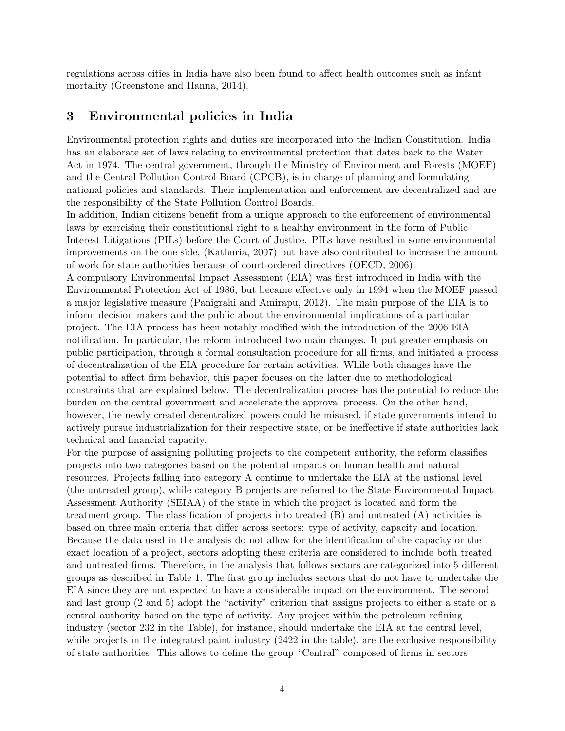regulations across cities in India have also been found to affect health outcomes such as infant mortality (Greenstone and Hanna, 2014).

## 3 Environmental policies in India

Environmental protection rights and duties are incorporated into the Indian Constitution. India has an elaborate set of laws relating to environmental protection that dates back to the Water Act in 1974. The central government, through the Ministry of Environment and Forests (MOEF) and the Central Pollution Control Board (CPCB), is in charge of planning and formulating national policies and standards. Their implementation and enforcement are decentralized and are the responsibility of the State Pollution Control Boards.

In addition, Indian citizens benefit from a unique approach to the enforcement of environmental laws by exercising their constitutional right to a healthy environment in the form of Public Interest Litigations (PILs) before the Court of Justice. PILs have resulted in some environmental improvements on the one side, (Kathuria, 2007) but have also contributed to increase the amount of work for state authorities because of court-ordered directives (OECD, 2006).

A compulsory Environmental Impact Assessment (EIA) was first introduced in India with the Environmental Protection Act of 1986, but became effective only in 1994 when the MOEF passed a major legislative measure (Panigrahi and Amirapu, 2012). The main purpose of the EIA is to inform decision makers and the public about the environmental implications of a particular project. The EIA process has been notably modified with the introduction of the 2006 EIA notification. In particular, the reform introduced two main changes. It put greater emphasis on public participation, through a formal consultation procedure for all firms, and initiated a process of decentralization of the EIA procedure for certain activities. While both changes have the potential to affect firm behavior, this paper focuses on the latter due to methodological constraints that are explained below. The decentralization process has the potential to reduce the burden on the central government and accelerate the approval process. On the other hand, however, the newly created decentralized powers could be misused, if state governments intend to actively pursue industrialization for their respective state, or be ineffective if state authorities lack technical and financial capacity.

For the purpose of assigning polluting projects to the competent authority, the reform classifies projects into two categories based on the potential impacts on human health and natural resources. Projects falling into category A continue to undertake the EIA at the national level (the untreated group), while category B projects are referred to the State Environmental Impact Assessment Authority (SEIAA) of the state in which the project is located and form the treatment group. The classification of projects into treated (B) and untreated (A) activities is based on three main criteria that differ across sectors: type of activity, capacity and location. Because the data used in the analysis do not allow for the identification of the capacity or the exact location of a project, sectors adopting these criteria are considered to include both treated and untreated firms. Therefore, in the analysis that follows sectors are categorized into 5 different groups as described in Table 1. The first group includes sectors that do not have to undertake the EIA since they are not expected to have a considerable impact on the environment. The second and last group (2 and 5) adopt the "activity" criterion that assigns projects to either a state or a central authority based on the type of activity. Any project within the petroleum refining industry (sector 232 in the Table), for instance, should undertake the EIA at the central level, while projects in the integrated paint industry  $(2422 \text{ in the table})$ , are the exclusive responsibility of state authorities. This allows to define the group "Central" composed of firms in sectors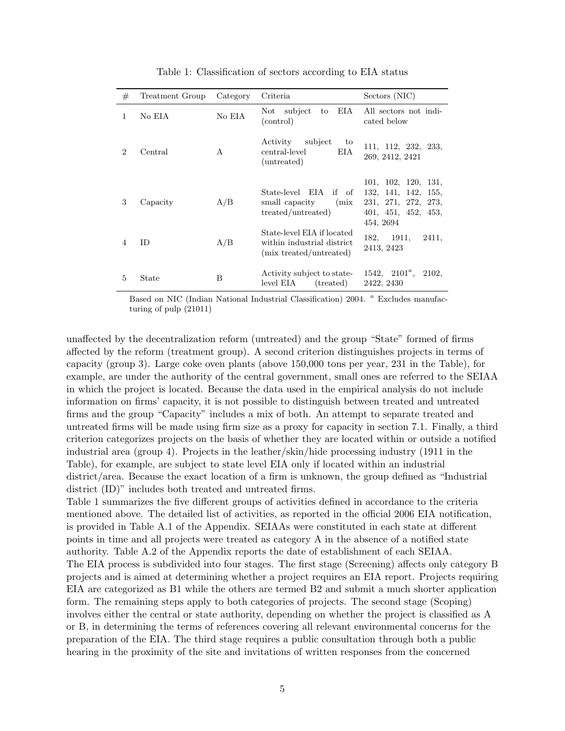| #              | Treatment Group | Category | Criteria                                                                             | Sectors (NIC)                                                                                               |
|----------------|-----------------|----------|--------------------------------------------------------------------------------------|-------------------------------------------------------------------------------------------------------------|
| 1              | No EIA          | No EIA   | subject<br>EIA<br>Not<br>to<br>(control)                                             | All sectors not indi-<br>cated below                                                                        |
| $\mathcal{D}$  | Central         | A        | Activity<br>subject<br>to<br>central-level<br>EI A<br>(untreated)                    | 111, 112, 232, 233,<br>269, 2412, 2421                                                                      |
| 3              | Capacity        | A/B      | State-level EIA<br>if of<br>small capacity<br>(mix)<br>treated/untreated)            | 101, 102, 120, 131,<br>132, 141, 142,<br>155,<br>231, 271, 272,<br>273,<br>401, 451, 452, 453,<br>454, 2694 |
| $\overline{4}$ | <b>ID</b>       | A/B      | State-level EIA if located<br>within industrial district.<br>(mix treated/untreated) | 1911,<br>182.<br>2411,<br>2413, 2423                                                                        |
| 5              | State           | B        | Activity subject to state-<br>level EIA<br>(treated)                                 | $1542, 2101^a,$<br>2102,<br>2422, 2430                                                                      |

Table 1: Classification of sectors according to EIA status

Based on NIC (Indian National Industrial Classification) 2004. <sup>a</sup> Excludes manufacturing of pulp (21011)

unaffected by the decentralization reform (untreated) and the group "State" formed of firms affected by the reform (treatment group). A second criterion distinguishes projects in terms of capacity (group 3). Large coke oven plants (above 150,000 tons per year, 231 in the Table), for example, are under the authority of the central government, small ones are referred to the SEIAA in which the project is located. Because the data used in the empirical analysis do not include information on firms' capacity, it is not possible to distinguish between treated and untreated firms and the group "Capacity" includes a mix of both. An attempt to separate treated and untreated firms will be made using firm size as a proxy for capacity in section 7.1. Finally, a third criterion categorizes projects on the basis of whether they are located within or outside a notified industrial area (group 4). Projects in the leather/skin/hide processing industry (1911 in the Table), for example, are subject to state level EIA only if located within an industrial district/area. Because the exact location of a firm is unknown, the group defined as "Industrial district (ID)" includes both treated and untreated firms.

Table 1 summarizes the five different groups of activities defined in accordance to the criteria mentioned above. The detailed list of activities, as reported in the official 2006 EIA notification, is provided in Table A.1 of the Appendix. SEIAAs were constituted in each state at different points in time and all projects were treated as category A in the absence of a notified state authority. Table A.2 of the Appendix reports the date of establishment of each SEIAA. The EIA process is subdivided into four stages. The first stage (Screening) affects only category B projects and is aimed at determining whether a project requires an EIA report. Projects requiring EIA are categorized as B1 while the others are termed B2 and submit a much shorter application form. The remaining steps apply to both categories of projects. The second stage (Scoping) involves either the central or state authority, depending on whether the project is classified as A or B, in determining the terms of references covering all relevant environmental concerns for the preparation of the EIA. The third stage requires a public consultation through both a public hearing in the proximity of the site and invitations of written responses from the concerned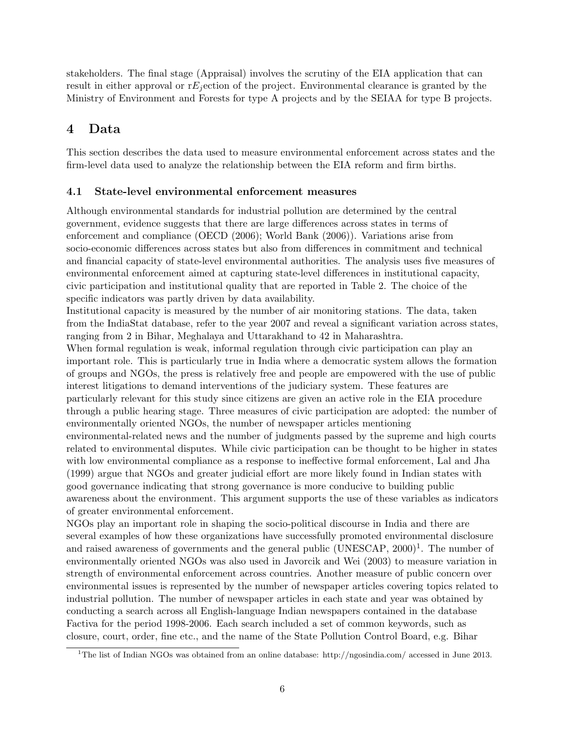stakeholders. The final stage (Appraisal) involves the scrutiny of the EIA application that can result in either approval or  $E_i$  ection of the project. Environmental clearance is granted by the Ministry of Environment and Forests for type A projects and by the SEIAA for type B projects.

## 4 Data

This section describes the data used to measure environmental enforcement across states and the firm-level data used to analyze the relationship between the EIA reform and firm births.

## 4.1 State-level environmental enforcement measures

Although environmental standards for industrial pollution are determined by the central government, evidence suggests that there are large differences across states in terms of enforcement and compliance (OECD (2006); World Bank (2006)). Variations arise from socio-economic differences across states but also from differences in commitment and technical and financial capacity of state-level environmental authorities. The analysis uses five measures of environmental enforcement aimed at capturing state-level differences in institutional capacity, civic participation and institutional quality that are reported in Table 2. The choice of the specific indicators was partly driven by data availability.

Institutional capacity is measured by the number of air monitoring stations. The data, taken from the IndiaStat database, refer to the year 2007 and reveal a significant variation across states, ranging from 2 in Bihar, Meghalaya and Uttarakhand to 42 in Maharashtra.

When formal regulation is weak, informal regulation through civic participation can play an important role. This is particularly true in India where a democratic system allows the formation of groups and NGOs, the press is relatively free and people are empowered with the use of public interest litigations to demand interventions of the judiciary system. These features are particularly relevant for this study since citizens are given an active role in the EIA procedure through a public hearing stage. Three measures of civic participation are adopted: the number of environmentally oriented NGOs, the number of newspaper articles mentioning environmental-related news and the number of judgments passed by the supreme and high courts related to environmental disputes. While civic participation can be thought to be higher in states with low environmental compliance as a response to ineffective formal enforcement, Lal and Jha (1999) argue that NGOs and greater judicial effort are more likely found in Indian states with good governance indicating that strong governance is more conducive to building public awareness about the environment. This argument supports the use of these variables as indicators of greater environmental enforcement.

NGOs play an important role in shaping the socio-political discourse in India and there are several examples of how these organizations have successfully promoted environmental disclosure and raised awareness of governments and the general public  $(UNESCAP, 2000)^{1}$ . The number of environmentally oriented NGOs was also used in Javorcik and Wei (2003) to measure variation in strength of environmental enforcement across countries. Another measure of public concern over environmental issues is represented by the number of newspaper articles covering topics related to industrial pollution. The number of newspaper articles in each state and year was obtained by conducting a search across all English-language Indian newspapers contained in the database Factiva for the period 1998-2006. Each search included a set of common keywords, such as closure, court, order, fine etc., and the name of the State Pollution Control Board, e.g. Bihar

<sup>&</sup>lt;sup>1</sup>The list of Indian NGOs was obtained from an online database: http://ngosindia.com/ accessed in June 2013.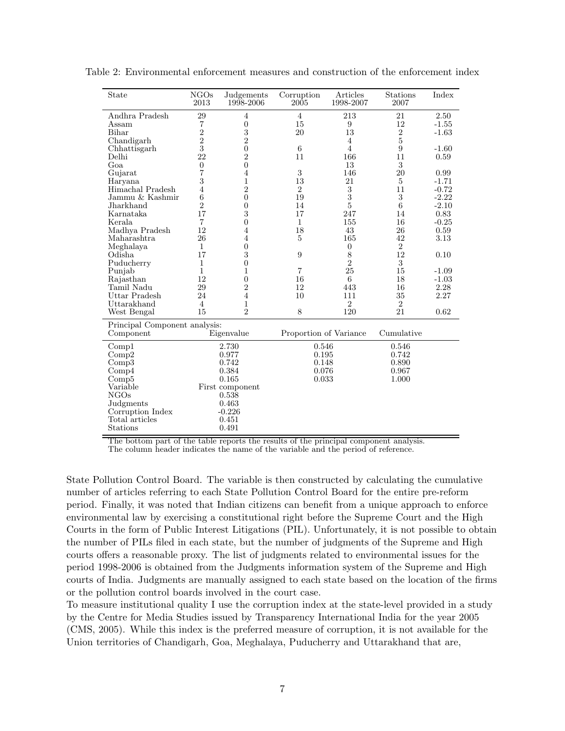| State                         | NGOs<br>2013   | Judgements<br>1998-2006 | Corruption<br>2005     | Articles<br>1998-2007 | <b>Stations</b><br>2007 | Index   |
|-------------------------------|----------------|-------------------------|------------------------|-----------------------|-------------------------|---------|
| Andhra Pradesh                | 29             | $\overline{4}$          | $\overline{4}$         | 213                   | 21                      | 2.50    |
| Assam                         | 7              | $\boldsymbol{0}$        | 15                     | 9                     | 12                      | $-1.55$ |
| Bihar                         | $\overline{2}$ | 3                       | 20                     | 13                    | $\overline{2}$          | $-1.63$ |
| Chandigarh                    | $\overline{2}$ | $\overline{2}$          |                        | $\overline{4}$        | $\bf 5$                 |         |
| Chhattisgarh                  | 3              | $\boldsymbol{0}$        | 6                      | $\overline{4}$        | 9                       | $-1.60$ |
| Delhi                         | 22             | $\overline{2}$          | 11                     | 166                   | 11                      | 0.59    |
| Goa                           | $\overline{0}$ | $\overline{0}$          |                        | 13                    | 3                       |         |
| Gujarat                       | 7              | $\overline{4}$          | 3                      | 146                   | 20                      | 0.99    |
| Haryana                       | 3              | $\mathbf{1}$            | 13                     | 21                    | $\overline{5}$          | $-1.71$ |
| Himachal Pradesh              | $\overline{4}$ | $\overline{2}$          | $\overline{2}$         | 3                     | 11                      | $-0.72$ |
| Jammu & Kashmir               | 6              | $\boldsymbol{0}$        | 19                     | 3                     | 3                       | $-2.22$ |
| Jharkhand                     | $\overline{2}$ | $\overline{0}$          | 14                     | $\overline{5}$        | 6                       | $-2.10$ |
| Karnataka                     | 17             | 3                       | 17                     | 247                   | 14                      | 0.83    |
| Kerala                        | $\overline{7}$ | $\overline{0}$          | $\mathbf{1}$           | 155                   | 16                      | $-0.25$ |
| Madhya Pradesh                | 12             | $\overline{4}$          | 18                     | 43                    | 26                      | 0.59    |
| Maharashtra                   | 26             | 4                       | 5                      | 165                   | 42                      | 3.13    |
| Meghalaya                     | $\mathbf{1}$   | $\overline{0}$          |                        | $\overline{0}$        | $\overline{2}$          |         |
| Odisha                        | 17             | 3                       | 9                      | 8                     | 12                      | 0.10    |
| Puducherry                    | $\mathbf{1}$   | $\overline{0}$          |                        | $\overline{2}$        | 3                       |         |
| Punjab                        | 1              | 1                       | $\overline{7}$         | 25                    | 15                      | $-1.09$ |
| Rajasthan                     | 12             | $\overline{0}$          | 16                     | 6                     | 18                      | $-1.03$ |
| Tamil Nadu                    | 29             | $\overline{2}$          | 12                     | 443                   | 16                      | 2.28    |
| Uttar Pradesh                 | 24             | $\overline{4}$          | 10                     | 111                   | 35                      | 2.27    |
| Uttarakhand                   | 4              | 1                       |                        | $\overline{2}$        | $\overline{2}$          |         |
| West Bengal                   | 15             | $\overline{2}$          | 8                      | 120                   | 21                      | 0.62    |
| Principal Component analysis: |                |                         |                        |                       |                         |         |
| Component                     |                | Eigenvalue              | Proportion of Variance |                       | Cumulative              |         |
| Compl                         |                | 2.730                   | 0.546                  |                       | 0.546                   |         |
| Comp2                         |                | 0.977                   | 0.195                  |                       | 0.742                   |         |
| Comp3                         |                | 0.742                   | 0.148                  |                       | 0.890                   |         |
| Comp4                         |                | 0.384                   | 0.076                  |                       | 0.967                   |         |
| Comp5                         |                | 0.165                   | 0.033                  |                       | 1.000                   |         |
| Variable                      |                | First component         |                        |                       |                         |         |
| NGOs                          |                | 0.538                   |                        |                       |                         |         |
| Judgments                     |                | 0.463                   |                        |                       |                         |         |
| Corruption Index              |                | $-0.226$                |                        |                       |                         |         |
| Total articles                |                | 0.451                   |                        |                       |                         |         |
| Stations                      |                | 0.491                   |                        |                       |                         |         |
|                               |                |                         |                        |                       |                         |         |

Table 2: Environmental enforcement measures and construction of the enforcement index

The bottom part of the table reports the results of the principal component analysis.

The column header indicates the name of the variable and the period of reference.

State Pollution Control Board. The variable is then constructed by calculating the cumulative number of articles referring to each State Pollution Control Board for the entire pre-reform period. Finally, it was noted that Indian citizens can benefit from a unique approach to enforce environmental law by exercising a constitutional right before the Supreme Court and the High Courts in the form of Public Interest Litigations (PIL). Unfortunately, it is not possible to obtain the number of PILs filed in each state, but the number of judgments of the Supreme and High courts offers a reasonable proxy. The list of judgments related to environmental issues for the period 1998-2006 is obtained from the Judgments information system of the Supreme and High courts of India. Judgments are manually assigned to each state based on the location of the firms or the pollution control boards involved in the court case.

To measure institutional quality I use the corruption index at the state-level provided in a study by the Centre for Media Studies issued by Transparency International India for the year 2005 (CMS, 2005). While this index is the preferred measure of corruption, it is not available for the Union territories of Chandigarh, Goa, Meghalaya, Puducherry and Uttarakhand that are,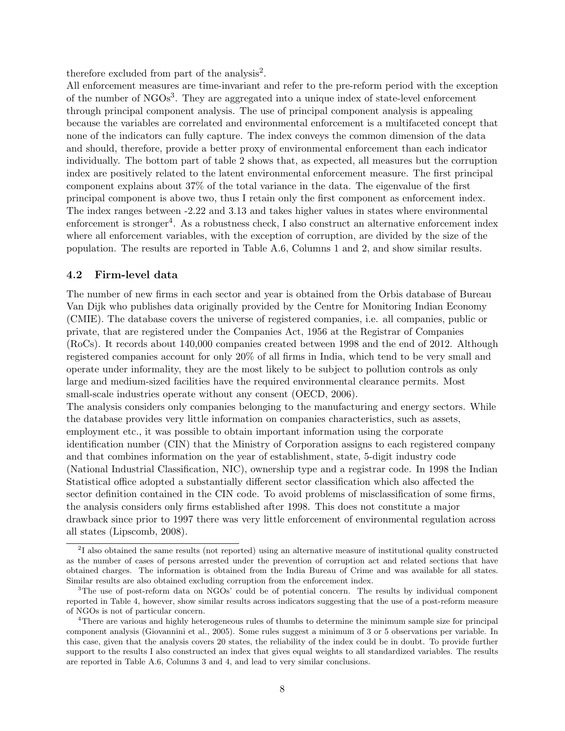therefore excluded from part of the analysis<sup>2</sup>.

All enforcement measures are time-invariant and refer to the pre-reform period with the exception of the number of NGOs<sup>3</sup>. They are aggregated into a unique index of state-level enforcement through principal component analysis. The use of principal component analysis is appealing because the variables are correlated and environmental enforcement is a multifaceted concept that none of the indicators can fully capture. The index conveys the common dimension of the data and should, therefore, provide a better proxy of environmental enforcement than each indicator individually. The bottom part of table 2 shows that, as expected, all measures but the corruption index are positively related to the latent environmental enforcement measure. The first principal component explains about 37% of the total variance in the data. The eigenvalue of the first principal component is above two, thus I retain only the first component as enforcement index. The index ranges between -2.22 and 3.13 and takes higher values in states where environmental enforcement is stronger<sup>4</sup>. As a robustness check, I also construct an alternative enforcement index where all enforcement variables, with the exception of corruption, are divided by the size of the population. The results are reported in Table A.6, Columns 1 and 2, and show similar results.

#### 4.2 Firm-level data

The number of new firms in each sector and year is obtained from the Orbis database of Bureau Van Dijk who publishes data originally provided by the Centre for Monitoring Indian Economy (CMIE). The database covers the universe of registered companies, i.e. all companies, public or private, that are registered under the Companies Act, 1956 at the Registrar of Companies (RoCs). It records about 140,000 companies created between 1998 and the end of 2012. Although registered companies account for only 20% of all firms in India, which tend to be very small and operate under informality, they are the most likely to be subject to pollution controls as only large and medium-sized facilities have the required environmental clearance permits. Most small-scale industries operate without any consent (OECD, 2006).

The analysis considers only companies belonging to the manufacturing and energy sectors. While the database provides very little information on companies characteristics, such as assets, employment etc., it was possible to obtain important information using the corporate identification number (CIN) that the Ministry of Corporation assigns to each registered company and that combines information on the year of establishment, state, 5-digit industry code (National Industrial Classification, NIC), ownership type and a registrar code. In 1998 the Indian Statistical office adopted a substantially different sector classification which also affected the sector definition contained in the CIN code. To avoid problems of misclassification of some firms, the analysis considers only firms established after 1998. This does not constitute a major drawback since prior to 1997 there was very little enforcement of environmental regulation across all states (Lipscomb, 2008).

<sup>&</sup>lt;sup>2</sup>I also obtained the same results (not reported) using an alternative measure of institutional quality constructed as the number of cases of persons arrested under the prevention of corruption act and related sections that have obtained charges. The information is obtained from the India Bureau of Crime and was available for all states. Similar results are also obtained excluding corruption from the enforcement index.

<sup>3</sup>The use of post-reform data on NGOs' could be of potential concern. The results by individual component reported in Table 4, however, show similar results across indicators suggesting that the use of a post-reform measure of NGOs is not of particular concern.

<sup>&</sup>lt;sup>4</sup>There are various and highly heterogeneous rules of thumbs to determine the minimum sample size for principal component analysis (Giovannini et al., 2005). Some rules suggest a minimum of 3 or 5 observations per variable. In this case, given that the analysis covers 20 states, the reliability of the index could be in doubt. To provide further support to the results I also constructed an index that gives equal weights to all standardized variables. The results are reported in Table A.6, Columns 3 and 4, and lead to very similar conclusions.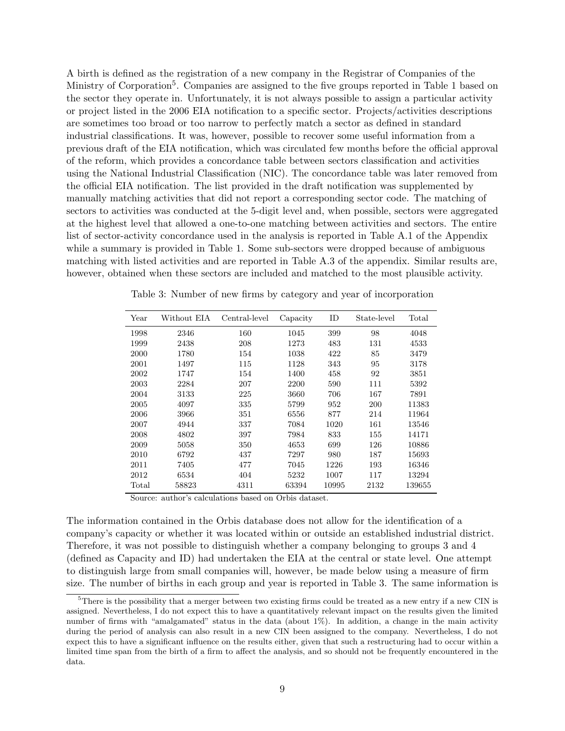A birth is defined as the registration of a new company in the Registrar of Companies of the Ministry of Corporation<sup>5</sup>. Companies are assigned to the five groups reported in Table 1 based on the sector they operate in. Unfortunately, it is not always possible to assign a particular activity or project listed in the 2006 EIA notification to a specific sector. Projects/activities descriptions are sometimes too broad or too narrow to perfectly match a sector as defined in standard industrial classifications. It was, however, possible to recover some useful information from a previous draft of the EIA notification, which was circulated few months before the official approval of the reform, which provides a concordance table between sectors classification and activities using the National Industrial Classification (NIC). The concordance table was later removed from the official EIA notification. The list provided in the draft notification was supplemented by manually matching activities that did not report a corresponding sector code. The matching of sectors to activities was conducted at the 5-digit level and, when possible, sectors were aggregated at the highest level that allowed a one-to-one matching between activities and sectors. The entire list of sector-activity concordance used in the analysis is reported in Table A.1 of the Appendix while a summary is provided in Table 1. Some sub-sectors were dropped because of ambiguous matching with listed activities and are reported in Table A.3 of the appendix. Similar results are, however, obtained when these sectors are included and matched to the most plausible activity.

| Year  | Without EIA | Central-level | Capacity | ID    | State-level | Total  |
|-------|-------------|---------------|----------|-------|-------------|--------|
| 1998  | 2346        | 160           | 1045     | 399   | 98          | 4048   |
| 1999  | 2438        | 208           | 1273     | 483   | 131         | 4533   |
| 2000  | 1780        | 154           | 1038     | 422   | 85          | 3479   |
| 2001  | 1497        | 115           | 1128     | 343   | 95          | 3178   |
| 2002  | 1747        | 154           | 1400     | 458   | 92          | 3851   |
| 2003  | 2284        | 207           | 2200     | 590   | 111         | 5392   |
| 2004  | 3133        | 225           | 3660     | 706   | 167         | 7891   |
| 2005  | 4097        | 335           | 5799     | 952   | 200         | 11383  |
| 2006  | 3966        | 351           | 6556     | 877   | 214         | 11964  |
| 2007  | 4944        | 337           | 7084     | 1020  | 161         | 13546  |
| 2008  | 4802        | 397           | 7984     | 833   | 155         | 14171  |
| 2009  | 5058        | 350           | 4653     | 699   | 126         | 10886  |
| 2010  | 6792        | 437           | 7297     | 980   | 187         | 15693  |
| 2011  | 7405        | 477           | 7045     | 1226  | 193         | 16346  |
| 2012  | 6534        | 404           | 5232     | 1007  | 117         | 13294  |
| Total | 58823       | 4311          | 63394    | 10995 | 2132        | 139655 |

Table 3: Number of new firms by category and year of incorporation

Source: author's calculations based on Orbis dataset.

The information contained in the Orbis database does not allow for the identification of a company's capacity or whether it was located within or outside an established industrial district. Therefore, it was not possible to distinguish whether a company belonging to groups 3 and 4 (defined as Capacity and ID) had undertaken the EIA at the central or state level. One attempt to distinguish large from small companies will, however, be made below using a measure of firm size. The number of births in each group and year is reported in Table 3. The same information is

 $5$ There is the possibility that a merger between two existing firms could be treated as a new entry if a new CIN is assigned. Nevertheless, I do not expect this to have a quantitatively relevant impact on the results given the limited number of firms with "amalgamated" status in the data (about 1%). In addition, a change in the main activity during the period of analysis can also result in a new CIN been assigned to the company. Nevertheless, I do not expect this to have a significant influence on the results either, given that such a restructuring had to occur within a limited time span from the birth of a firm to affect the analysis, and so should not be frequently encountered in the data.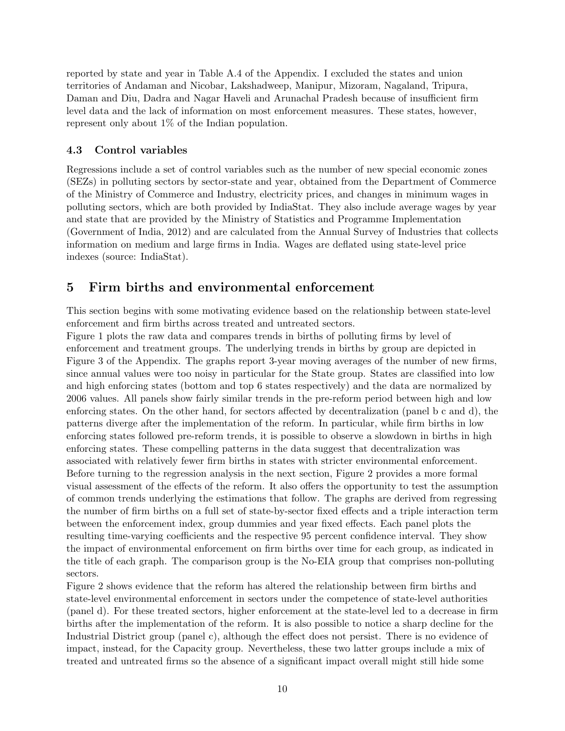reported by state and year in Table A.4 of the Appendix. I excluded the states and union territories of Andaman and Nicobar, Lakshadweep, Manipur, Mizoram, Nagaland, Tripura, Daman and Diu, Dadra and Nagar Haveli and Arunachal Pradesh because of insufficient firm level data and the lack of information on most enforcement measures. These states, however, represent only about 1% of the Indian population.

### 4.3 Control variables

Regressions include a set of control variables such as the number of new special economic zones (SEZs) in polluting sectors by sector-state and year, obtained from the Department of Commerce of the Ministry of Commerce and Industry, electricity prices, and changes in minimum wages in polluting sectors, which are both provided by IndiaStat. They also include average wages by year and state that are provided by the Ministry of Statistics and Programme Implementation (Government of India, 2012) and are calculated from the Annual Survey of Industries that collects information on medium and large firms in India. Wages are deflated using state-level price indexes (source: IndiaStat).

## 5 Firm births and environmental enforcement

This section begins with some motivating evidence based on the relationship between state-level enforcement and firm births across treated and untreated sectors.

Figure 1 plots the raw data and compares trends in births of polluting firms by level of enforcement and treatment groups. The underlying trends in births by group are depicted in Figure 3 of the Appendix. The graphs report 3-year moving averages of the number of new firms, since annual values were too noisy in particular for the State group. States are classified into low and high enforcing states (bottom and top 6 states respectively) and the data are normalized by 2006 values. All panels show fairly similar trends in the pre-reform period between high and low enforcing states. On the other hand, for sectors affected by decentralization (panel b c and d), the patterns diverge after the implementation of the reform. In particular, while firm births in low enforcing states followed pre-reform trends, it is possible to observe a slowdown in births in high enforcing states. These compelling patterns in the data suggest that decentralization was associated with relatively fewer firm births in states with stricter environmental enforcement. Before turning to the regression analysis in the next section, Figure 2 provides a more formal visual assessment of the effects of the reform. It also offers the opportunity to test the assumption of common trends underlying the estimations that follow. The graphs are derived from regressing the number of firm births on a full set of state-by-sector fixed effects and a triple interaction term between the enforcement index, group dummies and year fixed effects. Each panel plots the resulting time-varying coefficients and the respective 95 percent confidence interval. They show the impact of environmental enforcement on firm births over time for each group, as indicated in the title of each graph. The comparison group is the No-EIA group that comprises non-polluting sectors.

Figure 2 shows evidence that the reform has altered the relationship between firm births and state-level environmental enforcement in sectors under the competence of state-level authorities (panel d). For these treated sectors, higher enforcement at the state-level led to a decrease in firm births after the implementation of the reform. It is also possible to notice a sharp decline for the Industrial District group (panel c), although the effect does not persist. There is no evidence of impact, instead, for the Capacity group. Nevertheless, these two latter groups include a mix of treated and untreated firms so the absence of a significant impact overall might still hide some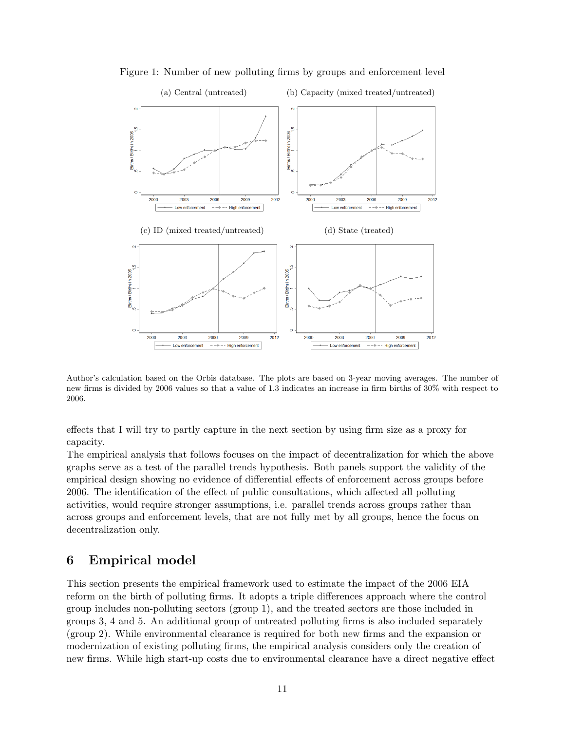

Figure 1: Number of new polluting firms by groups and enforcement level

Author's calculation based on the Orbis database. The plots are based on 3-year moving averages. The number of new firms is divided by 2006 values so that a value of 1.3 indicates an increase in firm births of 30% with respect to 2006.

effects that I will try to partly capture in the next section by using firm size as a proxy for capacity.

The empirical analysis that follows focuses on the impact of decentralization for which the above graphs serve as a test of the parallel trends hypothesis. Both panels support the validity of the empirical design showing no evidence of differential effects of enforcement across groups before 2006. The identification of the effect of public consultations, which affected all polluting activities, would require stronger assumptions, i.e. parallel trends across groups rather than across groups and enforcement levels, that are not fully met by all groups, hence the focus on decentralization only.

## 6 Empirical model

This section presents the empirical framework used to estimate the impact of the 2006 EIA reform on the birth of polluting firms. It adopts a triple differences approach where the control group includes non-polluting sectors (group 1), and the treated sectors are those included in groups 3, 4 and 5. An additional group of untreated polluting firms is also included separately (group 2). While environmental clearance is required for both new firms and the expansion or modernization of existing polluting firms, the empirical analysis considers only the creation of new firms. While high start-up costs due to environmental clearance have a direct negative effect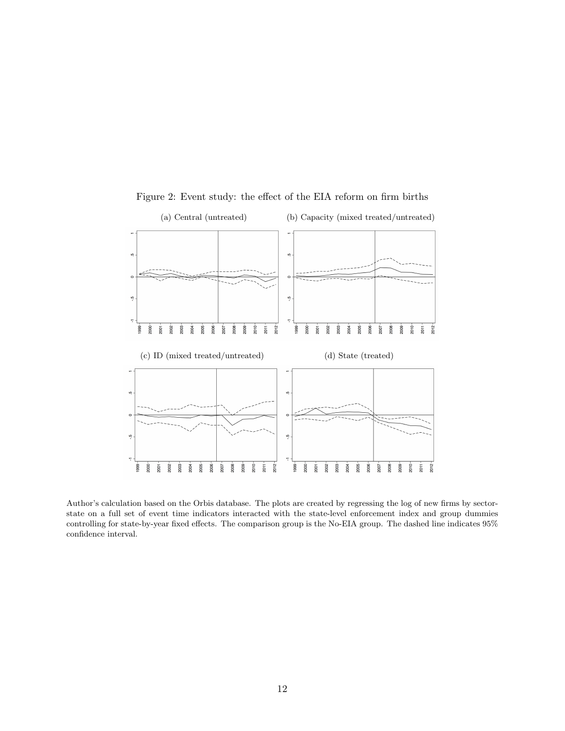

Figure 2: Event study: the effect of the EIA reform on firm births

Author's calculation based on the Orbis database. The plots are created by regressing the log of new firms by sectorstate on a full set of event time indicators interacted with the state-level enforcement index and group dummies controlling for state-by-year fixed effects. The comparison group is the No-EIA group. The dashed line indicates 95% confidence interval.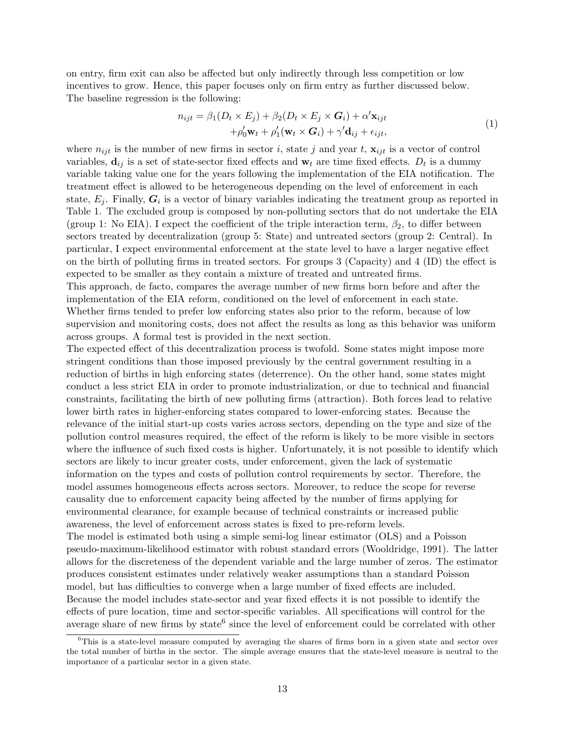on entry, firm exit can also be affected but only indirectly through less competition or low incentives to grow. Hence, this paper focuses only on firm entry as further discussed below. The baseline regression is the following:

$$
n_{ijt} = \beta_1 (D_t \times E_j) + \beta_2 (D_t \times E_j \times G_i) + \alpha' \mathbf{x}_{ijt}
$$
  
+  $\rho'_0 \mathbf{w}_t + \rho'_1 (\mathbf{w}_t \times G_i) + \gamma' \mathbf{d}_{ij} + \epsilon_{ijt},$  (1)

where  $n_{ijt}$  is the number of new firms in sector i, state j and year t,  $\mathbf{x}_{ijt}$  is a vector of control variables,  $\mathbf{d}_{ij}$  is a set of state-sector fixed effects and  $\mathbf{w}_t$  are time fixed effects.  $D_t$  is a dummy variable taking value one for the years following the implementation of the EIA notification. The treatment effect is allowed to be heterogeneous depending on the level of enforcement in each state,  $E_j$ . Finally,  $G_i$  is a vector of binary variables indicating the treatment group as reported in Table 1. The excluded group is composed by non-polluting sectors that do not undertake the EIA (group 1: No EIA). I expect the coefficient of the triple interaction term,  $\beta_2$ , to differ between sectors treated by decentralization (group 5: State) and untreated sectors (group 2: Central). In particular, I expect environmental enforcement at the state level to have a larger negative effect on the birth of polluting firms in treated sectors. For groups 3 (Capacity) and 4 (ID) the effect is expected to be smaller as they contain a mixture of treated and untreated firms. This approach, de facto, compares the average number of new firms born before and after the implementation of the EIA reform, conditioned on the level of enforcement in each state. Whether firms tended to prefer low enforcing states also prior to the reform, because of low

supervision and monitoring costs, does not affect the results as long as this behavior was uniform across groups. A formal test is provided in the next section.

The expected effect of this decentralization process is twofold. Some states might impose more stringent conditions than those imposed previously by the central government resulting in a reduction of births in high enforcing states (deterrence). On the other hand, some states might conduct a less strict EIA in order to promote industrialization, or due to technical and financial constraints, facilitating the birth of new polluting firms (attraction). Both forces lead to relative lower birth rates in higher-enforcing states compared to lower-enforcing states. Because the relevance of the initial start-up costs varies across sectors, depending on the type and size of the pollution control measures required, the effect of the reform is likely to be more visible in sectors where the influence of such fixed costs is higher. Unfortunately, it is not possible to identify which sectors are likely to incur greater costs, under enforcement, given the lack of systematic information on the types and costs of pollution control requirements by sector. Therefore, the model assumes homogeneous effects across sectors. Moreover, to reduce the scope for reverse causality due to enforcement capacity being affected by the number of firms applying for environmental clearance, for example because of technical constraints or increased public awareness, the level of enforcement across states is fixed to pre-reform levels.

The model is estimated both using a simple semi-log linear estimator (OLS) and a Poisson pseudo-maximum-likelihood estimator with robust standard errors (Wooldridge, 1991). The latter allows for the discreteness of the dependent variable and the large number of zeros. The estimator produces consistent estimates under relatively weaker assumptions than a standard Poisson model, but has difficulties to converge when a large number of fixed effects are included. Because the model includes state-sector and year fixed effects it is not possible to identify the effects of pure location, time and sector-specific variables. All specifications will control for the average share of new firms by state<sup>6</sup> since the level of enforcement could be correlated with other

<sup>&</sup>lt;sup>6</sup>This is a state-level measure computed by averaging the shares of firms born in a given state and sector over the total number of births in the sector. The simple average ensures that the state-level measure is neutral to the importance of a particular sector in a given state.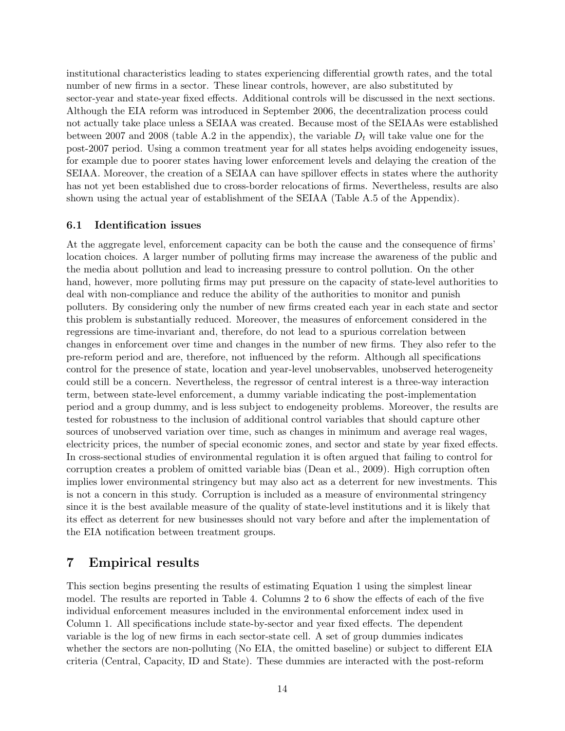institutional characteristics leading to states experiencing differential growth rates, and the total number of new firms in a sector. These linear controls, however, are also substituted by sector-year and state-year fixed effects. Additional controls will be discussed in the next sections. Although the EIA reform was introduced in September 2006, the decentralization process could not actually take place unless a SEIAA was created. Because most of the SEIAAs were established between 2007 and 2008 (table A.2 in the appendix), the variable  $D_t$  will take value one for the post-2007 period. Using a common treatment year for all states helps avoiding endogeneity issues, for example due to poorer states having lower enforcement levels and delaying the creation of the SEIAA. Moreover, the creation of a SEIAA can have spillover effects in states where the authority has not yet been established due to cross-border relocations of firms. Nevertheless, results are also shown using the actual year of establishment of the SEIAA (Table A.5 of the Appendix).

#### 6.1 Identification issues

At the aggregate level, enforcement capacity can be both the cause and the consequence of firms' location choices. A larger number of polluting firms may increase the awareness of the public and the media about pollution and lead to increasing pressure to control pollution. On the other hand, however, more polluting firms may put pressure on the capacity of state-level authorities to deal with non-compliance and reduce the ability of the authorities to monitor and punish polluters. By considering only the number of new firms created each year in each state and sector this problem is substantially reduced. Moreover, the measures of enforcement considered in the regressions are time-invariant and, therefore, do not lead to a spurious correlation between changes in enforcement over time and changes in the number of new firms. They also refer to the pre-reform period and are, therefore, not influenced by the reform. Although all specifications control for the presence of state, location and year-level unobservables, unobserved heterogeneity could still be a concern. Nevertheless, the regressor of central interest is a three-way interaction term, between state-level enforcement, a dummy variable indicating the post-implementation period and a group dummy, and is less subject to endogeneity problems. Moreover, the results are tested for robustness to the inclusion of additional control variables that should capture other sources of unobserved variation over time, such as changes in minimum and average real wages, electricity prices, the number of special economic zones, and sector and state by year fixed effects. In cross-sectional studies of environmental regulation it is often argued that failing to control for corruption creates a problem of omitted variable bias (Dean et al., 2009). High corruption often implies lower environmental stringency but may also act as a deterrent for new investments. This is not a concern in this study. Corruption is included as a measure of environmental stringency since it is the best available measure of the quality of state-level institutions and it is likely that its effect as deterrent for new businesses should not vary before and after the implementation of the EIA notification between treatment groups.

## 7 Empirical results

This section begins presenting the results of estimating Equation 1 using the simplest linear model. The results are reported in Table 4. Columns 2 to 6 show the effects of each of the five individual enforcement measures included in the environmental enforcement index used in Column 1. All specifications include state-by-sector and year fixed effects. The dependent variable is the log of new firms in each sector-state cell. A set of group dummies indicates whether the sectors are non-polluting (No EIA, the omitted baseline) or subject to different EIA criteria (Central, Capacity, ID and State). These dummies are interacted with the post-reform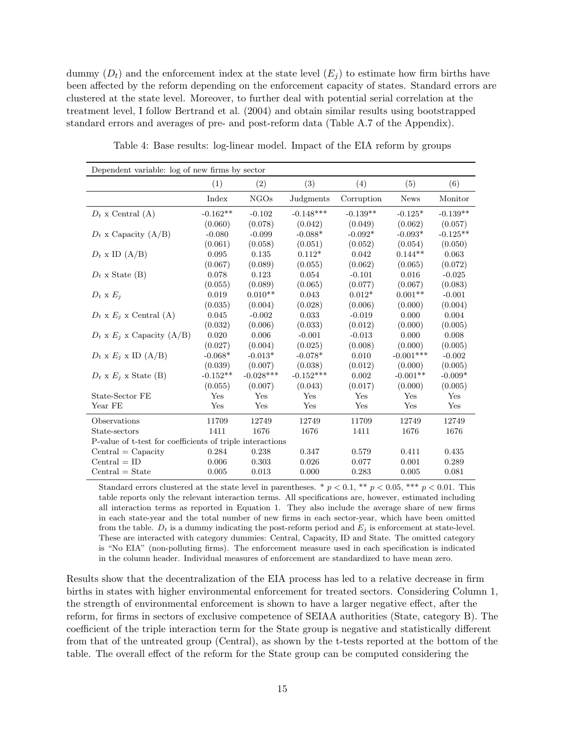dummy  $(D_t)$  and the enforcement index at the state level  $(E_i)$  to estimate how firm births have been affected by the reform depending on the enforcement capacity of states. Standard errors are clustered at the state level. Moreover, to further deal with potential serial correlation at the treatment level, I follow Bertrand et al. (2004) and obtain similar results using bootstrapped standard errors and averages of pre- and post-reform data (Table A.7 of the Appendix).

| Dependent variable: log of new firms by sector            |            |             |             |            |             |            |
|-----------------------------------------------------------|------------|-------------|-------------|------------|-------------|------------|
|                                                           | (1)        | (2)         | (3)         | (4)        | (5)         | (6)        |
|                                                           | Index      | <b>NGOs</b> | Judgments   | Corruption | <b>News</b> | Monitor    |
| $D_t$ x Central (A)                                       | $-0.162**$ | $-0.102$    | $-0.148***$ | $-0.139**$ | $-0.125*$   | $-0.139**$ |
|                                                           | (0.060)    | (0.078)     | (0.042)     | (0.049)    | (0.062)     | (0.057)    |
| $D_t$ x Capacity (A/B)                                    | $-0.080$   | $-0.099$    | $-0.088*$   | $-0.092*$  | $-0.093*$   | $-0.125**$ |
|                                                           | (0.061)    | (0.058)     | (0.051)     | (0.052)    | (0.054)     | (0.050)    |
| $D_t$ x ID $(A/B)$                                        | 0.095      | 0.135       | $0.112*$    | 0.042      | $0.144**$   | 0.063      |
|                                                           | (0.067)    | (0.089)     | (0.055)     | (0.062)    | (0.065)     | (0.072)    |
| $D_t$ x State (B)                                         | 0.078      | 0.123       | 0.054       | $-0.101$   | 0.016       | $-0.025$   |
|                                                           | (0.055)    | (0.089)     | (0.065)     | (0.077)    | (0.067)     | (0.083)    |
| $D_t \times E_i$                                          | 0.019      | $0.010**$   | 0.043       | $0.012*$   | $0.001**$   | $-0.001$   |
|                                                           | (0.035)    | (0.004)     | (0.028)     | (0.006)    | (0.000)     | (0.004)    |
| $D_t$ x $E_i$ x Central (A)                               | 0.045      | $-0.002$    | 0.033       | $-0.019$   | 0.000       | 0.004      |
|                                                           | (0.032)    | (0.006)     | (0.033)     | (0.012)    | (0.000)     | (0.005)    |
| $D_t$ x $E_j$ x Capacity (A/B)                            | 0.020      | 0.006       | $-0.001$    | $-0.013$   | 0.000       | 0.008      |
|                                                           | (0.027)    | (0.004)     | (0.025)     | (0.008)    | (0.000)     | (0.005)    |
| $D_t$ x $E_i$ x ID (A/B)                                  | $-0.068*$  | $-0.013*$   | $-0.078*$   | 0.010      | $-0.001***$ | $-0.002$   |
|                                                           | (0.039)    | (0.007)     | (0.038)     | (0.012)    | (0.000)     | (0.005)    |
| $D_t$ x $E_i$ x State (B)                                 | $-0.152**$ | $-0.028***$ | $-0.152***$ | 0.002      | $-0.001**$  | $-0.009*$  |
|                                                           | (0.055)    | (0.007)     | (0.043)     | (0.017)    | (0.000)     | (0.005)    |
| State-Sector FE                                           | Yes        | Yes         | Yes         | Yes        | Yes         | Yes        |
| Year FE                                                   | Yes        | Yes         | Yes         | Yes        | Yes         | Yes        |
| Observations                                              | 11709      | 12749       | 12749       | 11709      | 12749       | 12749      |
| State-sectors                                             | 1411       | 1676        | 1676        | 1411       | 1676        | 1676       |
| P-value of t-test for coefficients of triple interactions |            |             |             |            |             |            |
| $Central = Capacity$                                      | 0.284      | 0.238       | 0.347       | 0.579      | 0.411       | 0.435      |
| $Central = ID$                                            | 0.006      | 0.303       | 0.026       | 0.077      | 0.001       | 0.289      |
| $Central = State$                                         | 0.005      | 0.013       | 0.000       | 0.283      | 0.005       | 0.081      |

Table 4: Base results: log-linear model. Impact of the EIA reform by groups

Standard errors clustered at the state level in parentheses. \*  $p < 0.1$ , \*\*  $p < 0.05$ , \*\*\*  $p < 0.01$ . This table reports only the relevant interaction terms. All specifications are, however, estimated including all interaction terms as reported in Equation 1. They also include the average share of new firms in each state-year and the total number of new firms in each sector-year, which have been omitted from the table.  $D_t$  is a dummy indicating the post-reform period and  $E_j$  is enforcement at state-level. These are interacted with category dummies: Central, Capacity, ID and State. The omitted category is "No EIA" (non-polluting firms). The enforcement measure used in each specification is indicated in the column header. Individual measures of enforcement are standardized to have mean zero.

Results show that the decentralization of the EIA process has led to a relative decrease in firm births in states with higher environmental enforcement for treated sectors. Considering Column 1, the strength of environmental enforcement is shown to have a larger negative effect, after the reform, for firms in sectors of exclusive competence of SEIAA authorities (State, category B). The coefficient of the triple interaction term for the State group is negative and statistically different from that of the untreated group (Central), as shown by the t-tests reported at the bottom of the table. The overall effect of the reform for the State group can be computed considering the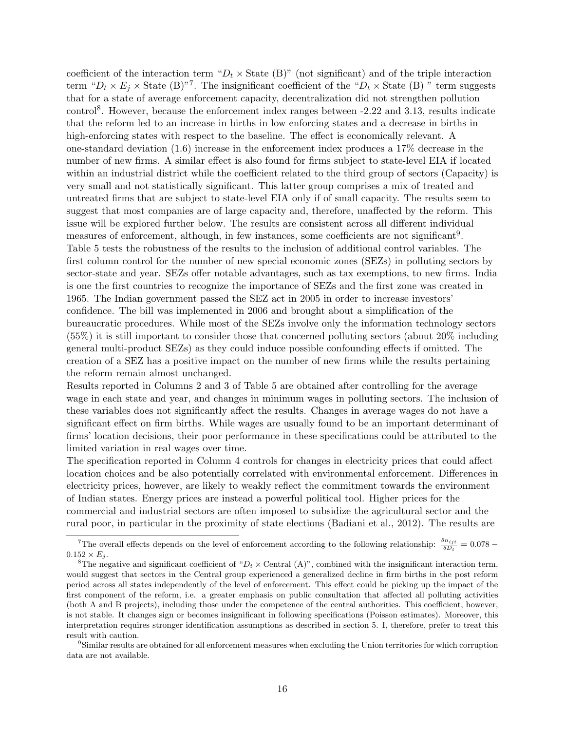coefficient of the interaction term " $D_t \times$  State (B)" (not significant) and of the triple interaction term " $D_t \times E_j \times$  State (B)"<sup>7</sup>. The insignificant coefficient of the " $D_t \times$  State (B)" term suggests that for a state of average enforcement capacity, decentralization did not strengthen pollution control<sup>8</sup>. However, because the enforcement index ranges between -2.22 and 3.13, results indicate that the reform led to an increase in births in low enforcing states and a decrease in births in high-enforcing states with respect to the baseline. The effect is economically relevant. A one-standard deviation (1.6) increase in the enforcement index produces a 17% decrease in the number of new firms. A similar effect is also found for firms subject to state-level EIA if located within an industrial district while the coefficient related to the third group of sectors (Capacity) is very small and not statistically significant. This latter group comprises a mix of treated and untreated firms that are subject to state-level EIA only if of small capacity. The results seem to suggest that most companies are of large capacity and, therefore, unaffected by the reform. This issue will be explored further below. The results are consistent across all different individual measures of enforcement, although, in few instances, some coefficients are not significant<sup>9</sup>. Table 5 tests the robustness of the results to the inclusion of additional control variables. The first column control for the number of new special economic zones (SEZs) in polluting sectors by sector-state and year. SEZs offer notable advantages, such as tax exemptions, to new firms. India is one the first countries to recognize the importance of SEZs and the first zone was created in 1965. The Indian government passed the SEZ act in 2005 in order to increase investors' confidence. The bill was implemented in 2006 and brought about a simplification of the bureaucratic procedures. While most of the SEZs involve only the information technology sectors (55%) it is still important to consider those that concerned polluting sectors (about 20% including general multi-product SEZs) as they could induce possible confounding effects if omitted. The creation of a SEZ has a positive impact on the number of new firms while the results pertaining the reform remain almost unchanged.

Results reported in Columns 2 and 3 of Table 5 are obtained after controlling for the average wage in each state and year, and changes in minimum wages in polluting sectors. The inclusion of these variables does not significantly affect the results. Changes in average wages do not have a significant effect on firm births. While wages are usually found to be an important determinant of firms' location decisions, their poor performance in these specifications could be attributed to the limited variation in real wages over time.

The specification reported in Column 4 controls for changes in electricity prices that could affect location choices and be also potentially correlated with environmental enforcement. Differences in electricity prices, however, are likely to weakly reflect the commitment towards the environment of Indian states. Energy prices are instead a powerful political tool. Higher prices for the commercial and industrial sectors are often imposed to subsidize the agricultural sector and the rural poor, in particular in the proximity of state elections (Badiani et al., 2012). The results are

<sup>&</sup>lt;sup>7</sup>The overall effects depends on the level of enforcement according to the following relationship:  $\frac{\delta n_{ijt}}{\delta D_t} = 0.078$  $0.152 \times E_i$ .

<sup>&</sup>lt;sup>8</sup>The negative and significant coefficient of " $D_t \times$  Central (A)", combined with the insignificant interaction term, would suggest that sectors in the Central group experienced a generalized decline in firm births in the post reform period across all states independently of the level of enforcement. This effect could be picking up the impact of the first component of the reform, i.e. a greater emphasis on public consultation that affected all polluting activities (both A and B projects), including those under the competence of the central authorities. This coefficient, however, is not stable. It changes sign or becomes insignificant in following specifications (Poisson estimates). Moreover, this interpretation requires stronger identification assumptions as described in section 5. I, therefore, prefer to treat this result with caution.

<sup>9</sup>Similar results are obtained for all enforcement measures when excluding the Union territories for which corruption data are not available.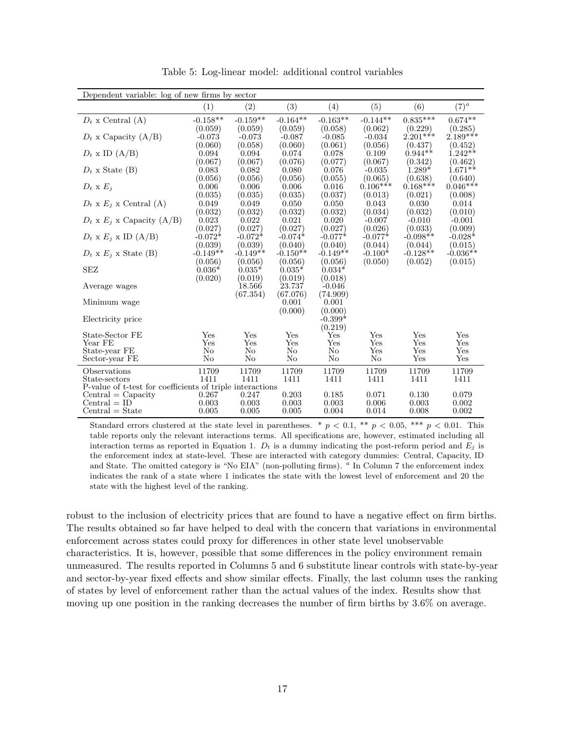| Dependent variable: log of new firms by sector            |                     |                     |                     |                     |                     |                       |                       |
|-----------------------------------------------------------|---------------------|---------------------|---------------------|---------------------|---------------------|-----------------------|-----------------------|
|                                                           | (1)                 | (2)                 | (3)                 | (4)                 | (5)                 | (6)                   | $(7)^a$               |
| $D_t$ x Central (A)                                       | $-0.158**$          | $-0.159**$          | $-0.164**$          | $-0.163**$          | $-0.144**$          | $0.835***$            | $0.674**$             |
|                                                           | (0.059)             | (0.059)             | (0.059)             | (0.058)             | (0.062)             | (0.229)<br>$2.201***$ | (0.285)<br>$2.189***$ |
| $D_t$ x Capacity (A/B)                                    | $-0.073$<br>(0.060) | $-0.073$<br>(0.058) | $-0.087$<br>(0.060) | $-0.085$<br>(0.061) | $-0.034$<br>(0.056) | (0.437)               |                       |
| $D_t$ x ID $(A/B)$                                        | 0.094               | 0.094               | 0.074               | 0.078               | 0.109               | $0.944**$             | (0.452)<br>$1.242**$  |
|                                                           | (0.067)             | (0.067)             | (0.076)             | (0.077)             | (0.067)             | (0.342)               | (0.462)               |
| $D_t$ x State (B)                                         | 0.083               | 0.082               | 0.080               | 0.076               | $-0.035$            | $1.289*$              | $1.671**$             |
|                                                           | (0.056)             | (0.056)             | (0.056)             | (0.055)             | (0.065)             | (0.638)               | (0.640)               |
| $D_t \times E_i$                                          | 0.006               | 0.006               | 0.006               | 0.016               | $0.106***$          | $0.168***$            | $0.046***$            |
|                                                           | (0.035)             | (0.035)             | (0.035)             | (0.037)             | (0.013)             | (0.021)               | (0.008)               |
| $D_t$ x $E_j$ x Central (A)                               | 0.049               | 0.049               | 0.050               | 0.050               | 0.043               | 0.030                 | 0.014                 |
|                                                           | (0.032)             | (0.032)             | (0.032)             | (0.032)             | (0.034)             | (0.032)               | (0.010)               |
| $D_t$ x $E_j$ x Capacity (A/B)                            | 0.023               | 0.022               | 0.021               | 0.020               | $-0.007$            | $-0.010$              | $-0.001$              |
|                                                           | (0.027)             | (0.027)             | (0.027)             | (0.027)             | (0.026)             | (0.033)               | (0.009)               |
| $D_t$ x $E_i$ x ID (A/B)                                  | $-0.072*$           | $-0.072*$           | $-0.074*$           | $-0.077*$           | $-0.077*$           | $-0.098**$            | $-0.028*$             |
|                                                           | (0.039)             | (0.039)             | (0.040)             | (0.040)             | (0.044)             | (0.044)               | (0.015)               |
| $D_t \times E_i \times$ State (B)                         | $-0.149**$          | $-0.149**$          | $-0.150**$          | $-0.149**$          | $-0.100*$           | $-0.128**$            | $-0.036**$            |
|                                                           | (0.056)             | (0.056)             | (0.056)             | (0.056)             | (0.050)             | (0.052)               | (0.015)               |
| <b>SEZ</b>                                                | $0.036*$            | $0.035*$            | $0.035*$            | $0.034*$            |                     |                       |                       |
|                                                           | (0.020)             | (0.019)             | (0.019)             | (0.018)             |                     |                       |                       |
| Average wages                                             |                     | 18.566              | 23.737              | $-0.046$            |                     |                       |                       |
| Minimum wage                                              |                     | (67.354)            | (67.076)<br>0.001   | (74.909)<br>0.001   |                     |                       |                       |
|                                                           |                     |                     | (0.000)             | (0.000)             |                     |                       |                       |
| Electricity price                                         |                     |                     |                     | $-0.399*$           |                     |                       |                       |
|                                                           |                     |                     |                     | (0.219)             |                     |                       |                       |
| State-Sector FE                                           | Yes                 | Yes                 | Yes                 | $_{\rm Yes}$        | Yes                 | <b>Yes</b>            | Yes                   |
| Year FE                                                   | Yes                 | Yes                 | Yes                 | Yes                 | Yes                 | Yes                   | Yes                   |
| State-year FE                                             | No                  | No                  | No                  | No                  | Yes                 | Yes                   | Yes                   |
| Sector-year FE                                            | No                  | No                  | No                  | No                  | No                  | Yes                   | Yes                   |
| Observations                                              | 11709               | 11709               | 11709               | 11709               | 11709               | 11709                 | 11709                 |
| State-sectors                                             | 1411                | 1411                | 1411                | 1411                | 1411                | 1411                  | 1411                  |
| P-value of t-test for coefficients of triple interactions |                     |                     |                     |                     |                     |                       |                       |
| $Central = Capacity$                                      | 0.267               | 0.247               | 0.203               | 0.185               | 0.071               | 0.130                 | 0.079                 |
| $Central = ID$                                            | 0.003               | 0.003               | 0.003               | 0.003               | 0.006               | 0.003                 | 0.002                 |
| $Central = State$                                         | 0.005               | 0.005               | 0.005               | 0.004               | 0.014               | 0.008                 | 0.002                 |

Table 5: Log-linear model: additional control variables

Standard errors clustered at the state level in parentheses. \*  $p < 0.1$ , \*\*  $p < 0.05$ , \*\*\*  $p < 0.01$ . This table reports only the relevant interactions terms. All specifications are, however, estimated including all interaction terms as reported in Equation 1.  $D_t$  is a dummy indicating the post-reform period and  $E_i$  is the enforcement index at state-level. These are interacted with category dummies: Central, Capacity, ID and State. The omitted category is "No EIA" (non-polluting firms). <sup>a</sup> In Column 7 the enforcement index indicates the rank of a state where 1 indicates the state with the lowest level of enforcement and 20 the state with the highest level of the ranking.

robust to the inclusion of electricity prices that are found to have a negative effect on firm births. The results obtained so far have helped to deal with the concern that variations in environmental enforcement across states could proxy for differences in other state level unobservable characteristics. It is, however, possible that some differences in the policy environment remain unmeasured. The results reported in Columns 5 and 6 substitute linear controls with state-by-year and sector-by-year fixed effects and show similar effects. Finally, the last column uses the ranking of states by level of enforcement rather than the actual values of the index. Results show that moving up one position in the ranking decreases the number of firm births by 3.6% on average.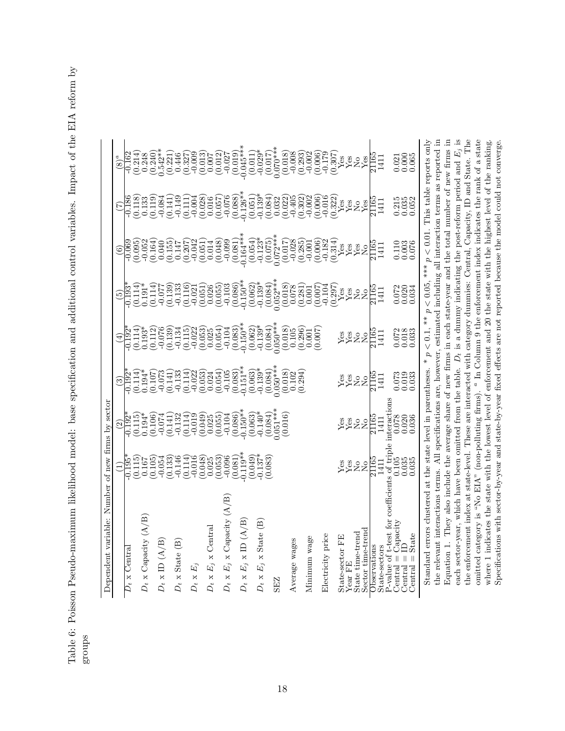Table 6: Poisson Pseudo-maximum likelihood model: base specification and additional control variables. Impact of the EIA reform by Table 6: Poisson Pseudo-maximum likelihood model: base specification and additional control variables. Impact of the EIA reform by groups

| Number<br>Dependent variable:                                                                                              |                                                                                                                                                                                                                                                                                                                                                                                                                                                                                                                                      | of new firms by sector                                                                                                                                                                                                                                                                                                           |                                                                                                                                                                                                                                                                                                                                                            |                                                                                                                                                                                                                                                                                                                                                                                                                                                                                                              |                                       |                                                        |                                             |                                                         |
|----------------------------------------------------------------------------------------------------------------------------|--------------------------------------------------------------------------------------------------------------------------------------------------------------------------------------------------------------------------------------------------------------------------------------------------------------------------------------------------------------------------------------------------------------------------------------------------------------------------------------------------------------------------------------|----------------------------------------------------------------------------------------------------------------------------------------------------------------------------------------------------------------------------------------------------------------------------------------------------------------------------------|------------------------------------------------------------------------------------------------------------------------------------------------------------------------------------------------------------------------------------------------------------------------------------------------------------------------------------------------------------|--------------------------------------------------------------------------------------------------------------------------------------------------------------------------------------------------------------------------------------------------------------------------------------------------------------------------------------------------------------------------------------------------------------------------------------------------------------------------------------------------------------|---------------------------------------|--------------------------------------------------------|---------------------------------------------|---------------------------------------------------------|
|                                                                                                                            |                                                                                                                                                                                                                                                                                                                                                                                                                                                                                                                                      |                                                                                                                                                                                                                                                                                                                                  |                                                                                                                                                                                                                                                                                                                                                            |                                                                                                                                                                                                                                                                                                                                                                                                                                                                                                              |                                       |                                                        |                                             |                                                         |
| $D_t\ge \rm{Centra}$                                                                                                       |                                                                                                                                                                                                                                                                                                                                                                                                                                                                                                                                      |                                                                                                                                                                                                                                                                                                                                  |                                                                                                                                                                                                                                                                                                                                                            |                                                                                                                                                                                                                                                                                                                                                                                                                                                                                                              |                                       |                                                        |                                             |                                                         |
|                                                                                                                            |                                                                                                                                                                                                                                                                                                                                                                                                                                                                                                                                      |                                                                                                                                                                                                                                                                                                                                  |                                                                                                                                                                                                                                                                                                                                                            |                                                                                                                                                                                                                                                                                                                                                                                                                                                                                                              |                                       |                                                        |                                             |                                                         |
| $D_t \times$ Capacity $(A/B)$                                                                                              |                                                                                                                                                                                                                                                                                                                                                                                                                                                                                                                                      |                                                                                                                                                                                                                                                                                                                                  |                                                                                                                                                                                                                                                                                                                                                            |                                                                                                                                                                                                                                                                                                                                                                                                                                                                                                              |                                       |                                                        |                                             |                                                         |
|                                                                                                                            |                                                                                                                                                                                                                                                                                                                                                                                                                                                                                                                                      |                                                                                                                                                                                                                                                                                                                                  |                                                                                                                                                                                                                                                                                                                                                            |                                                                                                                                                                                                                                                                                                                                                                                                                                                                                                              |                                       |                                                        |                                             |                                                         |
| $D_t \times \text{ID} \; (A/B)$                                                                                            |                                                                                                                                                                                                                                                                                                                                                                                                                                                                                                                                      |                                                                                                                                                                                                                                                                                                                                  |                                                                                                                                                                                                                                                                                                                                                            |                                                                                                                                                                                                                                                                                                                                                                                                                                                                                                              |                                       |                                                        |                                             |                                                         |
|                                                                                                                            |                                                                                                                                                                                                                                                                                                                                                                                                                                                                                                                                      |                                                                                                                                                                                                                                                                                                                                  |                                                                                                                                                                                                                                                                                                                                                            |                                                                                                                                                                                                                                                                                                                                                                                                                                                                                                              |                                       |                                                        |                                             |                                                         |
| $D_t$ x State (B)                                                                                                          |                                                                                                                                                                                                                                                                                                                                                                                                                                                                                                                                      |                                                                                                                                                                                                                                                                                                                                  |                                                                                                                                                                                                                                                                                                                                                            |                                                                                                                                                                                                                                                                                                                                                                                                                                                                                                              |                                       |                                                        |                                             |                                                         |
|                                                                                                                            |                                                                                                                                                                                                                                                                                                                                                                                                                                                                                                                                      |                                                                                                                                                                                                                                                                                                                                  |                                                                                                                                                                                                                                                                                                                                                            |                                                                                                                                                                                                                                                                                                                                                                                                                                                                                                              |                                       |                                                        |                                             |                                                         |
| $D_t \ge E$                                                                                                                |                                                                                                                                                                                                                                                                                                                                                                                                                                                                                                                                      |                                                                                                                                                                                                                                                                                                                                  |                                                                                                                                                                                                                                                                                                                                                            |                                                                                                                                                                                                                                                                                                                                                                                                                                                                                                              |                                       |                                                        |                                             |                                                         |
|                                                                                                                            |                                                                                                                                                                                                                                                                                                                                                                                                                                                                                                                                      |                                                                                                                                                                                                                                                                                                                                  |                                                                                                                                                                                                                                                                                                                                                            |                                                                                                                                                                                                                                                                                                                                                                                                                                                                                                              |                                       |                                                        |                                             |                                                         |
| $D_t \times E_i \times$ Centra                                                                                             |                                                                                                                                                                                                                                                                                                                                                                                                                                                                                                                                      |                                                                                                                                                                                                                                                                                                                                  |                                                                                                                                                                                                                                                                                                                                                            |                                                                                                                                                                                                                                                                                                                                                                                                                                                                                                              |                                       |                                                        |                                             |                                                         |
|                                                                                                                            |                                                                                                                                                                                                                                                                                                                                                                                                                                                                                                                                      |                                                                                                                                                                                                                                                                                                                                  |                                                                                                                                                                                                                                                                                                                                                            |                                                                                                                                                                                                                                                                                                                                                                                                                                                                                                              |                                       |                                                        |                                             |                                                         |
| $E_j$ x Capacity<br>$D_t$ x                                                                                                |                                                                                                                                                                                                                                                                                                                                                                                                                                                                                                                                      |                                                                                                                                                                                                                                                                                                                                  |                                                                                                                                                                                                                                                                                                                                                            |                                                                                                                                                                                                                                                                                                                                                                                                                                                                                                              |                                       |                                                        |                                             |                                                         |
|                                                                                                                            |                                                                                                                                                                                                                                                                                                                                                                                                                                                                                                                                      |                                                                                                                                                                                                                                                                                                                                  |                                                                                                                                                                                                                                                                                                                                                            |                                                                                                                                                                                                                                                                                                                                                                                                                                                                                                              |                                       |                                                        |                                             |                                                         |
| $E_i \times \text{ID} \; (A/B)$<br>$D_t$ x                                                                                 |                                                                                                                                                                                                                                                                                                                                                                                                                                                                                                                                      |                                                                                                                                                                                                                                                                                                                                  |                                                                                                                                                                                                                                                                                                                                                            |                                                                                                                                                                                                                                                                                                                                                                                                                                                                                                              |                                       |                                                        |                                             |                                                         |
|                                                                                                                            |                                                                                                                                                                                                                                                                                                                                                                                                                                                                                                                                      |                                                                                                                                                                                                                                                                                                                                  |                                                                                                                                                                                                                                                                                                                                                            |                                                                                                                                                                                                                                                                                                                                                                                                                                                                                                              |                                       |                                                        |                                             |                                                         |
| x State (B)<br>$E_j$<br>$D_t$ $\ge$                                                                                        | $\begin{array}{c} \text{(1)} \\ \text{(1)} \\ \text{(2)} \\ \text{(3)} \\ \text{(4)} \\ \text{(5)} \\ \text{(6)} \\ \text{(7)} \\ \text{(8)} \\ \text{(9)} \\ \text{(1)} \\ \text{(1)} \\ \text{(1)} \\ \text{(2)} \\ \text{(3)} \\ \text{(4)} \\ \text{(5)} \\ \text{(6)} \\ \text{(7)} \\ \text{(8)} \\ \text{(9)} \\ \text{(9)} \\ \text{(9)} \\ \text{(9)} \\ \text{(9)} \\ \text{(9)} \\ \text{(9)} \\ \text{(9)} \\ \text{(9)} \\ \text{(9)} \\ \text{(9)} \\ \text{(9)} \\ \text{(9)} \\ \text{(9)} \\ \text{(9)} \\ \text{($ |                                                                                                                                                                                                                                                                                                                                  |                                                                                                                                                                                                                                                                                                                                                            |                                                                                                                                                                                                                                                                                                                                                                                                                                                                                                              |                                       |                                                        |                                             |                                                         |
|                                                                                                                            |                                                                                                                                                                                                                                                                                                                                                                                                                                                                                                                                      |                                                                                                                                                                                                                                                                                                                                  |                                                                                                                                                                                                                                                                                                                                                            |                                                                                                                                                                                                                                                                                                                                                                                                                                                                                                              |                                       |                                                        |                                             |                                                         |
| <b>SEZ</b>                                                                                                                 |                                                                                                                                                                                                                                                                                                                                                                                                                                                                                                                                      | $\begin{array}{l} (2)\\ (3)\\ (1192)\\ (1194)\\ (1194)\\ (1194)\\ (1194)\\ (1194)\\ (1194)\\ (1194)\\ (1194)\\ (1194)\\ (1194)\\ (1194)\\ (1194)\\ (1194)\\ (1194)\\ (1194)\\ (1194)\\ (1194)\\ (1194)\\ (1194)\\ (1194)\\ (1194)\\ (1194)\\ (1194)\\ (1194)\\ (1194)\\ (1194)\\ (1194)\\ (1194)\\ (1$                           | $\begin{array}{r} (3) \\ (3) \\ (4) \\ (5) \\ (6) \\ (7) \\ (9) \\ (9) \\ (1,1) \\ (1,1) \\ (1,1) \\ (1,1) \\ (1,1) \\ (1,1) \\ (1,1) \\ (1,1) \\ (1,1) \\ (1,1) \\ (1,1) \\ (1,1) \\ (1,1) \\ (1,1) \\ (1,1) \\ (1,1) \\ (1,1) \\ (1,1) \\ (1,1) \\ (1,1) \\ (1,1) \\ (1,1) \\ (1,1) \\ (1,1) \\ (1,1) \\ (1,1) \\ (1,1) \\ (1,1) \\ (1,1) \\ (1,1) \\ ($ | $\begin{array}{c} \left( \begin{matrix} 1 \\ -1 \\ -1 \\ -1 \end{matrix} \right) \begin{matrix} 2 \\ 3 \\ -1 \\ -1 \end{matrix} \end{matrix} \begin{matrix} 2 \\ 3 \\ 1 \\ 2 \end{matrix} \end{matrix} \begin{matrix} 2 \\ 3 \\ 2 \\ 3 \\ -1 \end{matrix} \begin{matrix} 2 \\ 1 \\ 2 \\ -1 \end{matrix} \end{matrix} \begin{matrix} 2 \\ 3 \\ 2 \\ 1 \\ -1 \end{matrix} \begin{matrix} 2 \\ 1 \\ -1 \\ 2 \end{matrix} \end{matrix} \begin{matrix} 2 \\ 3 \\ 2 \\ 2 \\ -1 \end{matrix} \begin{matrix} 2 \\ 3$ | GOSCOCOCOCOCOCOCOCOCOCOCOCO E LA FILI |                                                        | COS COSTOROGO COROCO COROROGO COR ALITIANIS |                                                         |
|                                                                                                                            |                                                                                                                                                                                                                                                                                                                                                                                                                                                                                                                                      |                                                                                                                                                                                                                                                                                                                                  |                                                                                                                                                                                                                                                                                                                                                            |                                                                                                                                                                                                                                                                                                                                                                                                                                                                                                              |                                       |                                                        |                                             |                                                         |
| Average wages                                                                                                              |                                                                                                                                                                                                                                                                                                                                                                                                                                                                                                                                      |                                                                                                                                                                                                                                                                                                                                  |                                                                                                                                                                                                                                                                                                                                                            |                                                                                                                                                                                                                                                                                                                                                                                                                                                                                                              |                                       |                                                        |                                             |                                                         |
|                                                                                                                            |                                                                                                                                                                                                                                                                                                                                                                                                                                                                                                                                      |                                                                                                                                                                                                                                                                                                                                  |                                                                                                                                                                                                                                                                                                                                                            |                                                                                                                                                                                                                                                                                                                                                                                                                                                                                                              |                                       |                                                        |                                             |                                                         |
| Minimum wage                                                                                                               |                                                                                                                                                                                                                                                                                                                                                                                                                                                                                                                                      |                                                                                                                                                                                                                                                                                                                                  |                                                                                                                                                                                                                                                                                                                                                            |                                                                                                                                                                                                                                                                                                                                                                                                                                                                                                              |                                       |                                                        |                                             |                                                         |
|                                                                                                                            |                                                                                                                                                                                                                                                                                                                                                                                                                                                                                                                                      |                                                                                                                                                                                                                                                                                                                                  |                                                                                                                                                                                                                                                                                                                                                            |                                                                                                                                                                                                                                                                                                                                                                                                                                                                                                              |                                       |                                                        |                                             |                                                         |
| Electricity price                                                                                                          |                                                                                                                                                                                                                                                                                                                                                                                                                                                                                                                                      |                                                                                                                                                                                                                                                                                                                                  |                                                                                                                                                                                                                                                                                                                                                            |                                                                                                                                                                                                                                                                                                                                                                                                                                                                                                              |                                       |                                                        |                                             |                                                         |
|                                                                                                                            |                                                                                                                                                                                                                                                                                                                                                                                                                                                                                                                                      |                                                                                                                                                                                                                                                                                                                                  |                                                                                                                                                                                                                                                                                                                                                            |                                                                                                                                                                                                                                                                                                                                                                                                                                                                                                              |                                       |                                                        |                                             |                                                         |
| State-sector FE<br>Year FE                                                                                                 |                                                                                                                                                                                                                                                                                                                                                                                                                                                                                                                                      |                                                                                                                                                                                                                                                                                                                                  |                                                                                                                                                                                                                                                                                                                                                            |                                                                                                                                                                                                                                                                                                                                                                                                                                                                                                              |                                       |                                                        |                                             |                                                         |
| State time-trend                                                                                                           |                                                                                                                                                                                                                                                                                                                                                                                                                                                                                                                                      |                                                                                                                                                                                                                                                                                                                                  |                                                                                                                                                                                                                                                                                                                                                            |                                                                                                                                                                                                                                                                                                                                                                                                                                                                                                              |                                       |                                                        |                                             |                                                         |
| Sector time-trend                                                                                                          |                                                                                                                                                                                                                                                                                                                                                                                                                                                                                                                                      |                                                                                                                                                                                                                                                                                                                                  | <b>Yes</b><br>Xes<br>Zhon<br>Zhon<br>Zhon                                                                                                                                                                                                                                                                                                                  | <b>Y<sub>X</sub></b><br>YX<br>ZHEE                                                                                                                                                                                                                                                                                                                                                                                                                                                                           |                                       |                                                        |                                             |                                                         |
| Observations                                                                                                               |                                                                                                                                                                                                                                                                                                                                                                                                                                                                                                                                      |                                                                                                                                                                                                                                                                                                                                  |                                                                                                                                                                                                                                                                                                                                                            |                                                                                                                                                                                                                                                                                                                                                                                                                                                                                                              |                                       |                                                        |                                             |                                                         |
| State-sectors                                                                                                              | $\frac{\text{Yes}}{\text{No}}\ \frac{\text{No}}{\text{21165}}\ \text{M0}\ \text{M11}\ \text{M11}\ \text{M21} \ \text{is of triple}$                                                                                                                                                                                                                                                                                                                                                                                                  |                                                                                                                                                                                                                                                                                                                                  |                                                                                                                                                                                                                                                                                                                                                            |                                                                                                                                                                                                                                                                                                                                                                                                                                                                                                              |                                       |                                                        |                                             |                                                         |
| P-value of t-test for                                                                                                      |                                                                                                                                                                                                                                                                                                                                                                                                                                                                                                                                      |                                                                                                                                                                                                                                                                                                                                  |                                                                                                                                                                                                                                                                                                                                                            |                                                                                                                                                                                                                                                                                                                                                                                                                                                                                                              |                                       |                                                        |                                             |                                                         |
| $\mathop{\rm Capacity}\limits_{\prod}$<br>$\parallel$<br>Central                                                           |                                                                                                                                                                                                                                                                                                                                                                                                                                                                                                                                      |                                                                                                                                                                                                                                                                                                                                  |                                                                                                                                                                                                                                                                                                                                                            |                                                                                                                                                                                                                                                                                                                                                                                                                                                                                                              |                                       |                                                        |                                             |                                                         |
| State<br>$\parallel$<br>Central<br>Central                                                                                 | $\begin{array}{c} 0.105 \\ 0.035 \\ 0.035 \end{array}$                                                                                                                                                                                                                                                                                                                                                                                                                                                                               | $\begin{array}{l} \rm Yes\\ \rm Yes\\ \rm No\\ \rm N=0\\ \rm M=11\\ \rm 1411\\ \rm 1411\\ \rm 0.078\\ \rm 0.036\\ \rm 0.036\\ \rm 0.036\\ \rm 0.036\\ \rm 0.036\\ \rm 0.036\\ \rm 0.036\\ \rm 0.036\\ \rm 0.036\\ \rm 0.036\\ \rm 0.036\\ \rm 0.036\\ \rm 0.036\\ \rm 0.036\\ \rm 0.036\\ \rm 0.036\\ \rm 0.036\\ \rm 0.036\\ \$ | 0.073<br>0.019<br>0.033                                                                                                                                                                                                                                                                                                                                    | $\begin{array}{c} 0.072 \\ 0.018 \\ 0.033 \end{array}$                                                                                                                                                                                                                                                                                                                                                                                                                                                       | 0.072<br>0.020<br>0.034               | $\begin{array}{c} 0.110 \\ 0.003 \\ 0.076 \end{array}$ | 0.215<br>0.035<br>0.052                     | $\begin{array}{c} 0.021 \\ 0.0065 \\ 0.065 \end{array}$ |
| $\vert\vert$                                                                                                               |                                                                                                                                                                                                                                                                                                                                                                                                                                                                                                                                      |                                                                                                                                                                                                                                                                                                                                  |                                                                                                                                                                                                                                                                                                                                                            |                                                                                                                                                                                                                                                                                                                                                                                                                                                                                                              |                                       |                                                        |                                             |                                                         |
| Standard errors clustered at the state level in parentheses                                                                |                                                                                                                                                                                                                                                                                                                                                                                                                                                                                                                                      |                                                                                                                                                                                                                                                                                                                                  |                                                                                                                                                                                                                                                                                                                                                            | $\stackrel{*}{\ast}$<br>$< 0.1$<br>$\boldsymbol{a}$                                                                                                                                                                                                                                                                                                                                                                                                                                                          | < 0.05<br>$\boldsymbol{a}$            | *** $p < 0.01$ .                                       |                                             | This table reports only                                 |
| the relevant interactions terms. All specifications are, however, estimated including all interaction terms as reported in |                                                                                                                                                                                                                                                                                                                                                                                                                                                                                                                                      |                                                                                                                                                                                                                                                                                                                                  |                                                                                                                                                                                                                                                                                                                                                            |                                                                                                                                                                                                                                                                                                                                                                                                                                                                                                              |                                       |                                                        |                                             |                                                         |

each sector-year, which have been omitted from the table.  $D_t$  is a dummy indicating the post-reform period and  $E_j$  is the enforcement index at state-level. These are interacted with category dummies: Central, Capacity, and recovering mechanism certifiers. An appointmentation are, move our, commeters minimum and the total number of new firms in Equation 1. They also include the average share of new firms in each state-year and the total n omitted category is "No EIA" (non-polluting firms).  $^a$  In Column 9 the enforcement index indicates the rank of a state where 1 indicates the state with the lowest level of enforcement and 20 the state with the highest level of the ranking.<br>Specifications with sector-by-year and state-by-year fixed effects are not reported because the model the relevant interactions terms. All specifications are, however, estimated including all interaction terms as reported in Equation 1. They also include the average share of new firms in each state-year and the total number of new firms in the enforcement index at state-level. These are interacted with category dummies: Central, Capacity, ID and State. The In Column 9 the enforcement index indicates the rank of a state where 1 indicates the state with the lowest level of enforcement and 20 the state with the highest level of the ranking. Specifications with sector-by-year and state-by-year fixed effects are not reported because the model could not converge.  $D_t$  is a dummy indicating the post-reform period and each sector-year, which have been omitted from the table. omitted category is "No EIA" (non-polluting firms).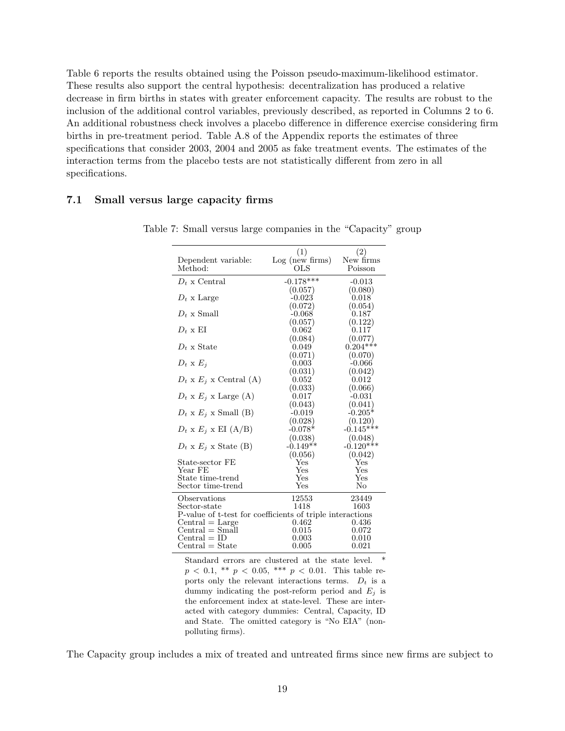Table 6 reports the results obtained using the Poisson pseudo-maximum-likelihood estimator. These results also support the central hypothesis: decentralization has produced a relative decrease in firm births in states with greater enforcement capacity. The results are robust to the inclusion of the additional control variables, previously described, as reported in Columns 2 to 6. An additional robustness check involves a placebo difference in difference exercise considering firm births in pre-treatment period. Table A.8 of the Appendix reports the estimates of three specifications that consider 2003, 2004 and 2005 as fake treatment events. The estimates of the interaction terms from the placebo tests are not statistically different from zero in all specifications.

#### 7.1 Small versus large capacity firms

|                                                           | (1)             | (2)          |
|-----------------------------------------------------------|-----------------|--------------|
| Dependent variable:                                       | Log (new firms) | New firms    |
| Method:                                                   | OLS             | Poisson      |
| $D_t$ x Central                                           | $-0.178***$     | $-0.013$     |
|                                                           | (0.057)         | (0.080)      |
| $D_t$ x Large                                             | -0.023          | 0.018        |
|                                                           | (0.072)         | (0.054)      |
| $D_t$ x Small                                             | $-0.068$        | 0.187        |
|                                                           | (0.057)         | (0.122)      |
| $D_t \times EI$                                           | 0.062           | 0.117        |
|                                                           | (0.084)         | (0.077)      |
| $D_t$ x State                                             | 0.049           | $0.204***$   |
|                                                           | (0.071)         | (0.070)      |
| $D_t$ x $E_j$                                             | 0.003           | $-0.066$     |
|                                                           | (0.031)         | (0.042)      |
| $D_t$ x $E_j$ x Central (A)                               | 0.052           | 0.012        |
|                                                           | (0.033)         | (0.066)      |
| $D_t$ x $E_j$ x Large (A)                                 | 0.017           | $-0.031$     |
|                                                           | (0.043)         | (0.041)      |
| $D_t$ x $E_j$ x Small (B)                                 | $-0.019$        | $-0.205*$    |
|                                                           | (0.028)         | (0.120)      |
| $D_t \times E_j \times EI(A/B)$                           | $-0.078*$       | $-0.145***$  |
|                                                           | (0.038)         | (0.048)      |
| $D_t \times E_i \times$ State (B)                         | $-0.149**$      | $-0.120***$  |
|                                                           | (0.056)         | (0.042)      |
| State-sector FE                                           | Yes             | Yes          |
| Year FE                                                   | Yes             | Yes          |
| State time-trend                                          | Yes             | $_{\rm Yes}$ |
| Sector time-trend                                         | $_{\rm Yes}$    | No           |
| Observations                                              | 12553           | 23449        |
| Sector-state                                              | 1418            | 1603         |
| P-value of t-test for coefficients of triple interactions |                 |              |
| $Central = Large$                                         | 0.462           | 0.436        |
| $Central = Small$                                         | 0.015           | 0.072        |
| $\text{Central} = \text{ID}$                              | 0.003           | $0.010\,$    |
| $Central = State$                                         | 0.005           | 0.021        |

Table 7: Small versus large companies in the "Capacity" group

Standard errors are clustered at the state level.  $p < 0.1$ , \*\*  $p < 0.05$ , \*\*\*  $p < 0.01$ . This table reports only the relevant interactions terms.  $D_t$  is a dummy indicating the post-reform period and  $E_j$  is the enforcement index at state-level. These are interacted with category dummies: Central, Capacity, ID and State. The omitted category is "No EIA" (nonpolluting firms).

The Capacity group includes a mix of treated and untreated firms since new firms are subject to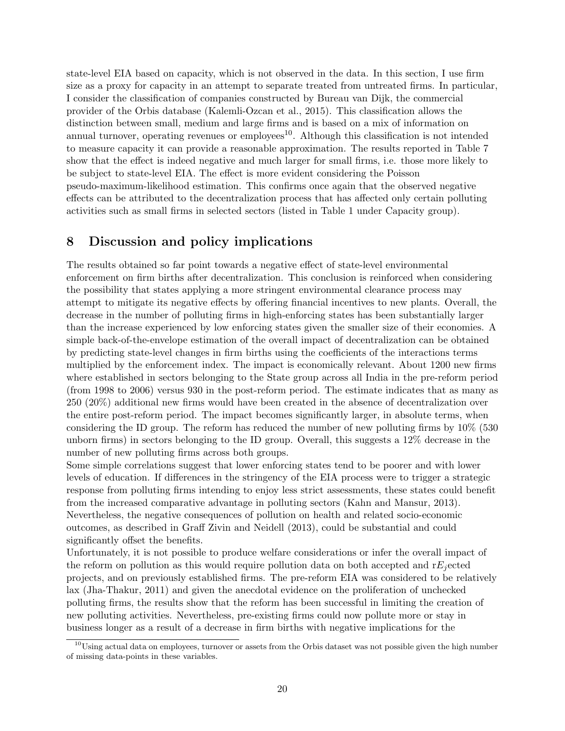state-level EIA based on capacity, which is not observed in the data. In this section, I use firm size as a proxy for capacity in an attempt to separate treated from untreated firms. In particular, I consider the classification of companies constructed by Bureau van Dijk, the commercial provider of the Orbis database (Kalemli-Ozcan et al., 2015). This classification allows the distinction between small, medium and large firms and is based on a mix of information on annual turnover, operating revenues or employees $10$ . Although this classification is not intended to measure capacity it can provide a reasonable approximation. The results reported in Table 7 show that the effect is indeed negative and much larger for small firms, i.e. those more likely to be subject to state-level EIA. The effect is more evident considering the Poisson pseudo-maximum-likelihood estimation. This confirms once again that the observed negative effects can be attributed to the decentralization process that has affected only certain polluting activities such as small firms in selected sectors (listed in Table 1 under Capacity group).

## 8 Discussion and policy implications

The results obtained so far point towards a negative effect of state-level environmental enforcement on firm births after decentralization. This conclusion is reinforced when considering the possibility that states applying a more stringent environmental clearance process may attempt to mitigate its negative effects by offering financial incentives to new plants. Overall, the decrease in the number of polluting firms in high-enforcing states has been substantially larger than the increase experienced by low enforcing states given the smaller size of their economies. A simple back-of-the-envelope estimation of the overall impact of decentralization can be obtained by predicting state-level changes in firm births using the coefficients of the interactions terms multiplied by the enforcement index. The impact is economically relevant. About 1200 new firms where established in sectors belonging to the State group across all India in the pre-reform period (from 1998 to 2006) versus 930 in the post-reform period. The estimate indicates that as many as 250 (20%) additional new firms would have been created in the absence of decentralization over the entire post-reform period. The impact becomes significantly larger, in absolute terms, when considering the ID group. The reform has reduced the number of new polluting firms by 10% (530 unborn firms) in sectors belonging to the ID group. Overall, this suggests a 12% decrease in the number of new polluting firms across both groups.

Some simple correlations suggest that lower enforcing states tend to be poorer and with lower levels of education. If differences in the stringency of the EIA process were to trigger a strategic response from polluting firms intending to enjoy less strict assessments, these states could benefit from the increased comparative advantage in polluting sectors (Kahn and Mansur, 2013). Nevertheless, the negative consequences of pollution on health and related socio-economic outcomes, as described in Graff Zivin and Neidell (2013), could be substantial and could significantly offset the benefits.

Unfortunately, it is not possible to produce welfare considerations or infer the overall impact of the reform on pollution as this would require pollution data on both accepted and  $rE_i$  ected projects, and on previously established firms. The pre-reform EIA was considered to be relatively lax (Jha-Thakur, 2011) and given the anecdotal evidence on the proliferation of unchecked polluting firms, the results show that the reform has been successful in limiting the creation of new polluting activities. Nevertheless, pre-existing firms could now pollute more or stay in business longer as a result of a decrease in firm births with negative implications for the

 $10$ Using actual data on employees, turnover or assets from the Orbis dataset was not possible given the high number of missing data-points in these variables.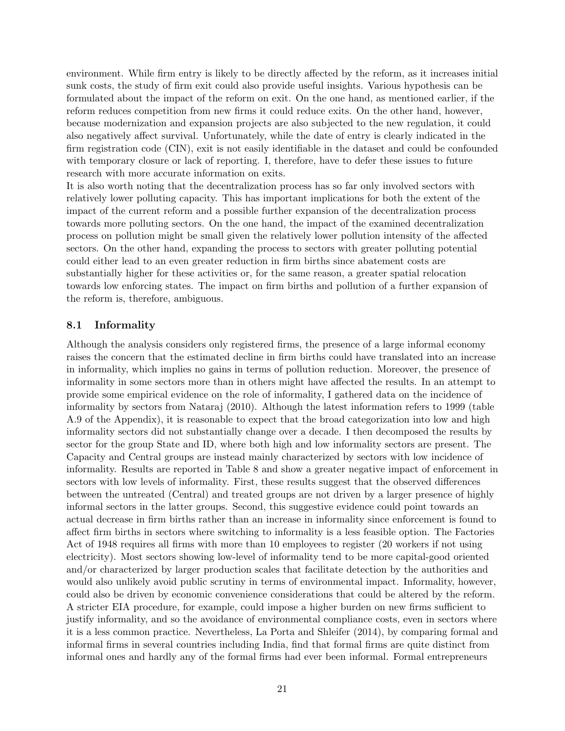environment. While firm entry is likely to be directly affected by the reform, as it increases initial sunk costs, the study of firm exit could also provide useful insights. Various hypothesis can be formulated about the impact of the reform on exit. On the one hand, as mentioned earlier, if the reform reduces competition from new firms it could reduce exits. On the other hand, however, because modernization and expansion projects are also subjected to the new regulation, it could also negatively affect survival. Unfortunately, while the date of entry is clearly indicated in the firm registration code (CIN), exit is not easily identifiable in the dataset and could be confounded with temporary closure or lack of reporting. I, therefore, have to defer these issues to future research with more accurate information on exits.

It is also worth noting that the decentralization process has so far only involved sectors with relatively lower polluting capacity. This has important implications for both the extent of the impact of the current reform and a possible further expansion of the decentralization process towards more polluting sectors. On the one hand, the impact of the examined decentralization process on pollution might be small given the relatively lower pollution intensity of the affected sectors. On the other hand, expanding the process to sectors with greater polluting potential could either lead to an even greater reduction in firm births since abatement costs are substantially higher for these activities or, for the same reason, a greater spatial relocation towards low enforcing states. The impact on firm births and pollution of a further expansion of the reform is, therefore, ambiguous.

#### 8.1 Informality

Although the analysis considers only registered firms, the presence of a large informal economy raises the concern that the estimated decline in firm births could have translated into an increase in informality, which implies no gains in terms of pollution reduction. Moreover, the presence of informality in some sectors more than in others might have affected the results. In an attempt to provide some empirical evidence on the role of informality, I gathered data on the incidence of informality by sectors from Nataraj (2010). Although the latest information refers to 1999 (table A.9 of the Appendix), it is reasonable to expect that the broad categorization into low and high informality sectors did not substantially change over a decade. I then decomposed the results by sector for the group State and ID, where both high and low informality sectors are present. The Capacity and Central groups are instead mainly characterized by sectors with low incidence of informality. Results are reported in Table 8 and show a greater negative impact of enforcement in sectors with low levels of informality. First, these results suggest that the observed differences between the untreated (Central) and treated groups are not driven by a larger presence of highly informal sectors in the latter groups. Second, this suggestive evidence could point towards an actual decrease in firm births rather than an increase in informality since enforcement is found to affect firm births in sectors where switching to informality is a less feasible option. The Factories Act of 1948 requires all firms with more than 10 employees to register (20 workers if not using electricity). Most sectors showing low-level of informality tend to be more capital-good oriented and/or characterized by larger production scales that facilitate detection by the authorities and would also unlikely avoid public scrutiny in terms of environmental impact. Informality, however, could also be driven by economic convenience considerations that could be altered by the reform. A stricter EIA procedure, for example, could impose a higher burden on new firms sufficient to justify informality, and so the avoidance of environmental compliance costs, even in sectors where it is a less common practice. Nevertheless, La Porta and Shleifer (2014), by comparing formal and informal firms in several countries including India, find that formal firms are quite distinct from informal ones and hardly any of the formal firms had ever been informal. Formal entrepreneurs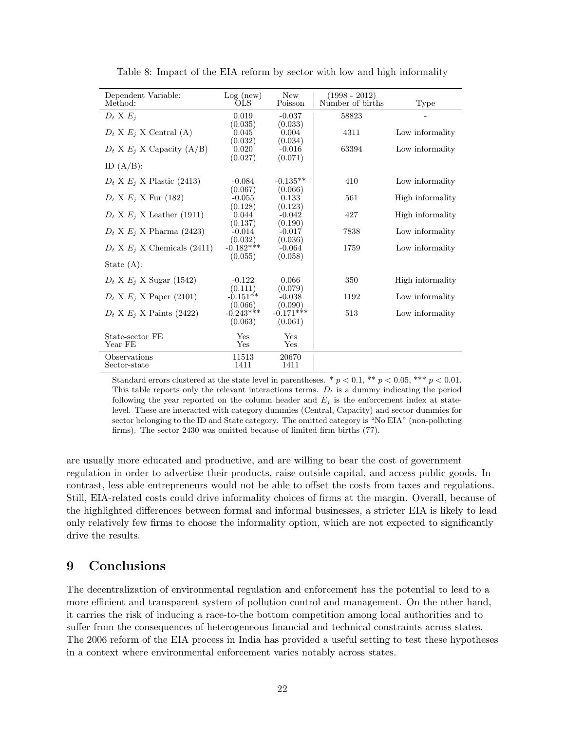| Dependent Variable:<br>Method:   | Log(new)<br>OLS                   | <b>New</b><br>Poisson          | $(1998 - 2012)$<br>Number of births | Type             |
|----------------------------------|-----------------------------------|--------------------------------|-------------------------------------|------------------|
| $D_t X E_i$                      | 0.019                             | $-0.037$                       | 58823                               |                  |
| $D_t$ X $E_i$ X Central (A)      | (0.035)<br>0.045<br>(0.032)       | (0.033)<br>0.004<br>(0.034)    | 4311                                | Low informality  |
| $D_t$ X $E_j$ X Capacity (A/B)   | 0.020<br>(0.027)                  | $-0.016$<br>(0.071)            | 63394                               | Low informality  |
| ID $(A/B)$ :                     |                                   |                                |                                     |                  |
| $D_t$ X $E_i$ X Plastic (2413)   | $-0.084$<br>(0.067)               | $-0.135**$<br>(0.066)          | 410                                 | Low informality  |
| $D_t$ X $E_i$ X Fur (182)        | $-0.055$                          | 0.133                          | 561                                 | High informality |
| $D_t$ X $E_i$ X Leather (1911)   | (0.128)<br>0.044<br>(0.137)       | (0.123)<br>$-0.042$<br>(0.190) | 427                                 | High informality |
| $D_t$ X $E_i$ X Pharma (2423)    | $-0.014$                          | $-0.017$                       | 7838                                | Low informality  |
| $D_t$ X $E_i$ X Chemicals (2411) | (0.032)<br>$-0.182***$<br>(0.055) | (0.036)<br>$-0.064$<br>(0.058) | 1759                                | Low informality  |
| State $(A)$ :                    |                                   |                                |                                     |                  |
| $D_t$ X $E_i$ X Sugar (1542)     | $-0.122$<br>(0.111)               | 0.066<br>(0.079)               | 350                                 | High informality |
| $D_t$ X $E_i$ X Paper (2101)     | $-0.151**$<br>(0.066)             | $-0.038$<br>(0.090)            | 1192                                | Low informality  |
| $D_t$ X $E_i$ X Paints (2422)    | $-0.243***$<br>(0.063)            | $-0.171***$<br>(0.061)         | 513                                 | Low informality  |
| State-sector FE<br>Year FE       | Yes<br>Yes                        | Yes<br>Yes                     |                                     |                  |
| Observations<br>Sector-state     | 11513<br>1411                     | 20670<br>1411                  |                                     |                  |

Table 8: Impact of the EIA reform by sector with low and high informality

Standard errors clustered at the state level in parentheses. \*  $p < 0.1$ , \*\*  $p < 0.05$ , \*\*\*  $p < 0.01$ . This table reports only the relevant interactions terms.  $D_t$  is a dummy indicating the period following the year reported on the column header and  $E_j$  is the enforcement index at statelevel. These are interacted with category dummies (Central, Capacity) and sector dummies for sector belonging to the ID and State category. The omitted category is "No EIA" (non-polluting firms). The sector 2430 was omitted because of limited firm births (77).

are usually more educated and productive, and are willing to bear the cost of government regulation in order to advertise their products, raise outside capital, and access public goods. In contrast, less able entrepreneurs would not be able to offset the costs from taxes and regulations. Still, EIA-related costs could drive informality choices of firms at the margin. Overall, because of the highlighted differences between formal and informal businesses, a stricter EIA is likely to lead only relatively few firms to choose the informality option, which are not expected to significantly drive the results.

## 9 Conclusions

The decentralization of environmental regulation and enforcement has the potential to lead to a more efficient and transparent system of pollution control and management. On the other hand, it carries the risk of inducing a race-to-the bottom competition among local authorities and to suffer from the consequences of heterogeneous financial and technical constraints across states. The 2006 reform of the EIA process in India has provided a useful setting to test these hypotheses in a context where environmental enforcement varies notably across states.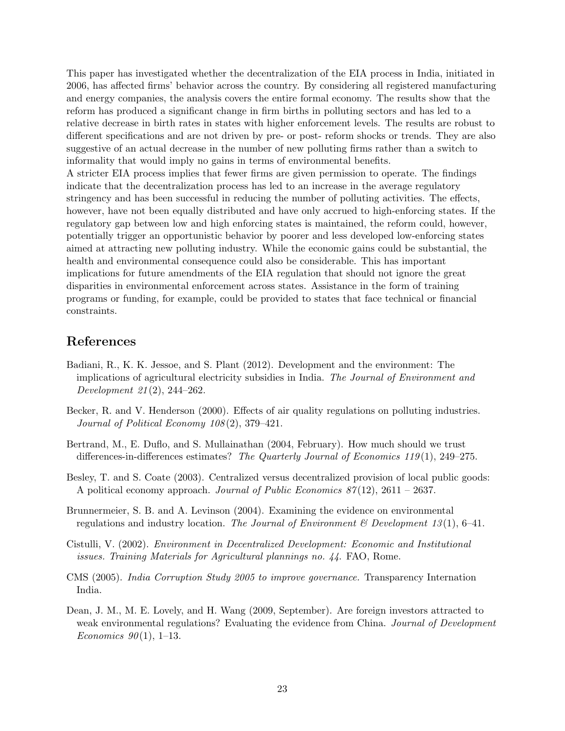This paper has investigated whether the decentralization of the EIA process in India, initiated in 2006, has affected firms' behavior across the country. By considering all registered manufacturing and energy companies, the analysis covers the entire formal economy. The results show that the reform has produced a significant change in firm births in polluting sectors and has led to a relative decrease in birth rates in states with higher enforcement levels. The results are robust to different specifications and are not driven by pre- or post- reform shocks or trends. They are also suggestive of an actual decrease in the number of new polluting firms rather than a switch to informality that would imply no gains in terms of environmental benefits.

A stricter EIA process implies that fewer firms are given permission to operate. The findings indicate that the decentralization process has led to an increase in the average regulatory stringency and has been successful in reducing the number of polluting activities. The effects, however, have not been equally distributed and have only accrued to high-enforcing states. If the regulatory gap between low and high enforcing states is maintained, the reform could, however, potentially trigger an opportunistic behavior by poorer and less developed low-enforcing states aimed at attracting new polluting industry. While the economic gains could be substantial, the health and environmental consequence could also be considerable. This has important implications for future amendments of the EIA regulation that should not ignore the great disparities in environmental enforcement across states. Assistance in the form of training programs or funding, for example, could be provided to states that face technical or financial constraints.

## References

- Badiani, R., K. K. Jessoe, and S. Plant (2012). Development and the environment: The implications of agricultural electricity subsidies in India. The Journal of Environment and Development 21 (2), 244–262.
- Becker, R. and V. Henderson (2000). Effects of air quality regulations on polluting industries. Journal of Political Economy 108 (2), 379–421.
- Bertrand, M., E. Duflo, and S. Mullainathan (2004, February). How much should we trust differences-in-differences estimates? The Quarterly Journal of Economics 119(1), 249-275.
- Besley, T. and S. Coate (2003). Centralized versus decentralized provision of local public goods: A political economy approach. Journal of Public Economics  $87(12)$ , 2611 – 2637.
- Brunnermeier, S. B. and A. Levinson (2004). Examining the evidence on environmental regulations and industry location. The Journal of Environment  $\mathscr B$  Development 13(1), 6–41.
- Cistulli, V. (2002). Environment in Decentralized Development: Economic and Institutional issues. Training Materials for Agricultural plannings no. 44. FAO, Rome.
- CMS (2005). India Corruption Study 2005 to improve governance. Transparency Internation India.
- Dean, J. M., M. E. Lovely, and H. Wang (2009, September). Are foreign investors attracted to weak environmental regulations? Evaluating the evidence from China. Journal of Development Economics  $90(1)$ , 1–13.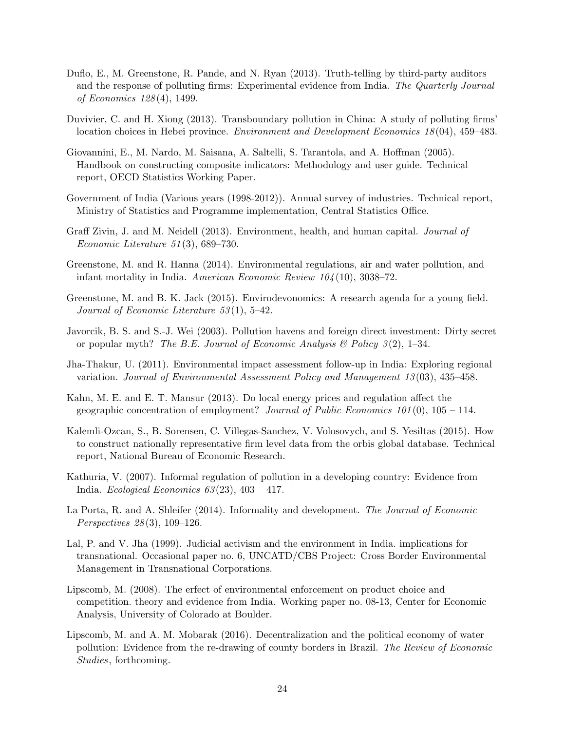- Duflo, E., M. Greenstone, R. Pande, and N. Ryan (2013). Truth-telling by third-party auditors and the response of polluting firms: Experimental evidence from India. The Quarterly Journal of Economics 128 (4), 1499.
- Duvivier, C. and H. Xiong (2013). Transboundary pollution in China: A study of polluting firms' location choices in Hebei province. Environment and Development Economics 18 (04), 459–483.
- Giovannini, E., M. Nardo, M. Saisana, A. Saltelli, S. Tarantola, and A. Hoffman (2005). Handbook on constructing composite indicators: Methodology and user guide. Technical report, OECD Statistics Working Paper.
- Government of India (Various years (1998-2012)). Annual survey of industries. Technical report, Ministry of Statistics and Programme implementation, Central Statistics Office.
- Graff Zivin, J. and M. Neidell (2013). Environment, health, and human capital. Journal of Economic Literature 51 (3), 689–730.
- Greenstone, M. and R. Hanna (2014). Environmental regulations, air and water pollution, and infant mortality in India. American Economic Review  $104(10)$ , 3038–72.
- Greenstone, M. and B. K. Jack (2015). Envirodevonomics: A research agenda for a young field. Journal of Economic Literature 53 (1), 5–42.
- Javorcik, B. S. and S.-J. Wei (2003). Pollution havens and foreign direct investment: Dirty secret or popular myth? The B.E. Journal of Economic Analysis  $\mathcal{B}$  Policy 3(2), 1–34.
- Jha-Thakur, U. (2011). Environmental impact assessment follow-up in India: Exploring regional variation. Journal of Environmental Assessment Policy and Management 13 (03), 435–458.
- Kahn, M. E. and E. T. Mansur (2013). Do local energy prices and regulation affect the geographic concentration of employment? Journal of Public Economics  $101(0)$ ,  $105 - 114$ .
- Kalemli-Ozcan, S., B. Sorensen, C. Villegas-Sanchez, V. Volosovych, and S. Yesiltas (2015). How to construct nationally representative firm level data from the orbis global database. Technical report, National Bureau of Economic Research.
- Kathuria, V. (2007). Informal regulation of pollution in a developing country: Evidence from India. Ecological Economics  $63(23)$ ,  $403 - 417$ .
- La Porta, R. and A. Shleifer (2014). Informality and development. The Journal of Economic Perspectives 28 (3), 109–126.
- Lal, P. and V. Jha (1999). Judicial activism and the environment in India. implications for transnational. Occasional paper no. 6, UNCATD/CBS Project: Cross Border Environmental Management in Transnational Corporations.
- Lipscomb, M. (2008). The erfect of environmental enforcement on product choice and competition. theory and evidence from India. Working paper no. 08-13, Center for Economic Analysis, University of Colorado at Boulder.
- Lipscomb, M. and A. M. Mobarak (2016). Decentralization and the political economy of water pollution: Evidence from the re-drawing of county borders in Brazil. The Review of Economic Studies, forthcoming.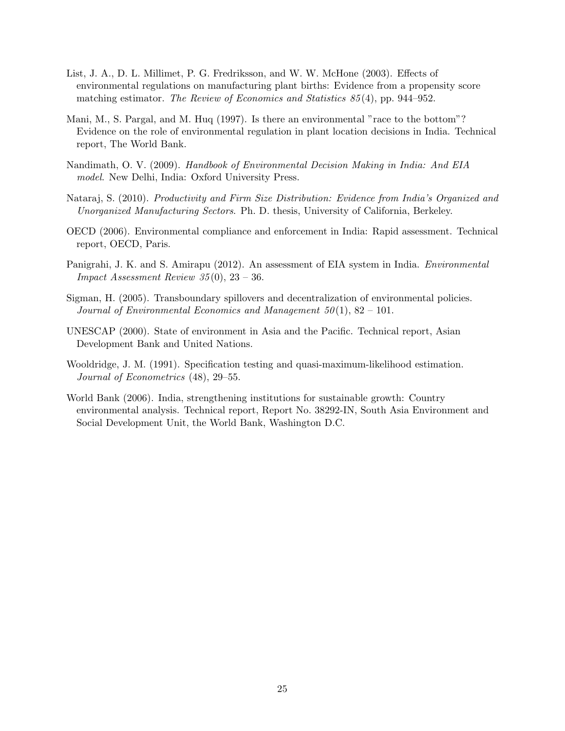- List, J. A., D. L. Millimet, P. G. Fredriksson, and W. W. McHone (2003). Effects of environmental regulations on manufacturing plant births: Evidence from a propensity score matching estimator. The Review of Economics and Statistics 85 (4), pp. 944–952.
- Mani, M., S. Pargal, and M. Huq (1997). Is there an environmental "race to the bottom"? Evidence on the role of environmental regulation in plant location decisions in India. Technical report, The World Bank.
- Nandimath, O. V. (2009). Handbook of Environmental Decision Making in India: And EIA model. New Delhi, India: Oxford University Press.
- Nataraj, S. (2010). Productivity and Firm Size Distribution: Evidence from India's Organized and Unorganized Manufacturing Sectors. Ph. D. thesis, University of California, Berkeley.
- OECD (2006). Environmental compliance and enforcement in India: Rapid assessment. Technical report, OECD, Paris.
- Panigrahi, J. K. and S. Amirapu (2012). An assessment of EIA system in India. Environmental Impact Assessment Review 35 (0), 23 – 36.
- Sigman, H. (2005). Transboundary spillovers and decentralization of environmental policies. Journal of Environmental Economics and Management  $50(1)$ ,  $82 - 101$ .
- UNESCAP (2000). State of environment in Asia and the Pacific. Technical report, Asian Development Bank and United Nations.
- Wooldridge, J. M. (1991). Specification testing and quasi-maximum-likelihood estimation. Journal of Econometrics (48), 29–55.
- World Bank (2006). India, strengthening institutions for sustainable growth: Country environmental analysis. Technical report, Report No. 38292-IN, South Asia Environment and Social Development Unit, the World Bank, Washington D.C.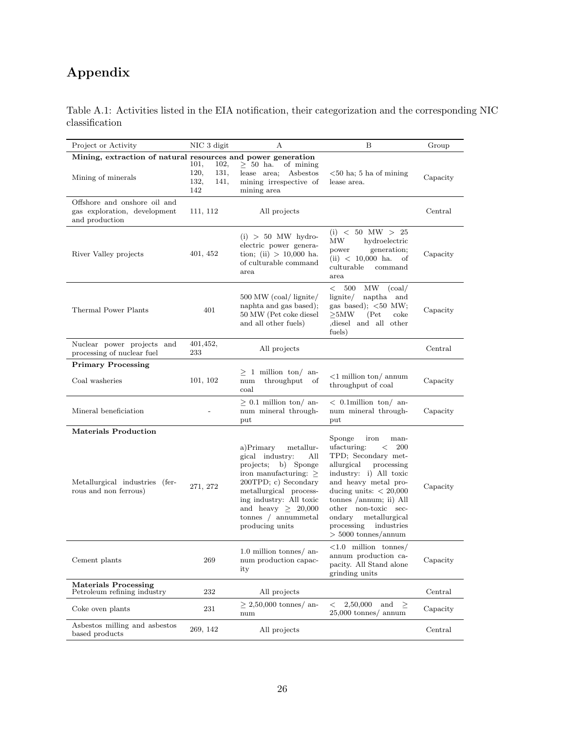# Appendix

Table A.1: Activities listed in the EIA notification, their categorization and the corresponding NIC classification

| Project or Activity                                                            | NIC 3 digit                                         | А                                                                                                                                                                                                                                                         | B                                                                                                                                                                                                                                                                                                                       | Group    |
|--------------------------------------------------------------------------------|-----------------------------------------------------|-----------------------------------------------------------------------------------------------------------------------------------------------------------------------------------------------------------------------------------------------------------|-------------------------------------------------------------------------------------------------------------------------------------------------------------------------------------------------------------------------------------------------------------------------------------------------------------------------|----------|
| Mining, extraction of natural resources and power generation                   |                                                     |                                                                                                                                                                                                                                                           |                                                                                                                                                                                                                                                                                                                         |          |
| Mining of minerals                                                             | 101,<br>102,<br>120,<br>131,<br>132,<br>141,<br>142 | $\geq 50$ ha.<br>of mining<br>lease area;<br>Asbestos<br>mining irrespective of<br>mining area                                                                                                                                                            | $<$ 50 ha; 5 ha of mining<br>lease area.                                                                                                                                                                                                                                                                                | Capacity |
| Offshore and onshore oil and<br>gas exploration, development<br>and production | 111, 112                                            | All projects                                                                                                                                                                                                                                              |                                                                                                                                                                                                                                                                                                                         | Central  |
| River Valley projects                                                          | 401, 452                                            | $(i) > 50$ MW hydro-<br>electric power genera-<br>tion; (ii) $> 10,000$ ha.<br>of culturable command<br>area                                                                                                                                              | $(i) < 50$ MW $> 25$<br>МW<br>hydroelectric<br>generation;<br>power<br>$(ii) < 10,000$ ha.<br>οf<br>culturable<br>command<br>area                                                                                                                                                                                       | Capacity |
| Thermal Power Plants                                                           | 401                                                 | 500 MW (coal/ lignite/<br>naphta and gas based);<br>50 MW (Pet coke diesel<br>and all other fuels)                                                                                                                                                        | 500<br>MW<br>(coal)<br>$\,<\,$<br>naptha<br>lignite/<br>and<br>gas based); $<50$ MW;<br>$>5\rm MW$<br>(Pet)<br>coke<br>diesel and all other<br>fuels)                                                                                                                                                                   | Capacity |
| Nuclear power projects and<br>processing of nuclear fuel                       | 401,452,<br>233                                     | All projects                                                                                                                                                                                                                                              |                                                                                                                                                                                                                                                                                                                         | Central  |
| <b>Primary Processing</b>                                                      |                                                     |                                                                                                                                                                                                                                                           |                                                                                                                                                                                                                                                                                                                         |          |
| Coal washeries                                                                 | 101, 102                                            | $\geq$ 1 million ton/ an-<br>throughput<br>num<br>of<br>coal                                                                                                                                                                                              | $\langle 1 \rangle$ million ton/ annum<br>throughput of coal                                                                                                                                                                                                                                                            | Capacity |
| Mineral beneficiation                                                          |                                                     | $\geq 0.1$ million ton/ an-<br>num mineral through-<br>put                                                                                                                                                                                                | $<$ 0.1 million ton/ an-<br>num mineral through-<br>put                                                                                                                                                                                                                                                                 | Capacity |
| <b>Materials Production</b>                                                    |                                                     |                                                                                                                                                                                                                                                           |                                                                                                                                                                                                                                                                                                                         |          |
| Metallurgical industries (fer-<br>rous and non ferrous)                        | 271, 272                                            | a)Primary<br>metallur-<br>gical industry:<br>All<br>projects; b) Sponge<br>iron manufacturing: $\geq$<br>200TPD; c) Secondary<br>metallurgical process-<br>ing industry: All toxic<br>and heavy $\geq 20,000$<br>tonnes $/$ annummetal<br>producing units | Sponge<br>iron<br>man-<br>ufacturing:<br>200<br>$\,<\,$<br>TPD; Secondary met-<br>allurgical<br>processing<br>industry: i) All toxic<br>and heavy metal pro-<br>ducing units: $< 20,000$<br>tonnes /annum; ii) All<br>other non-toxic sec-<br>metallurgical<br>ondary<br>processing industries<br>$>$ 5000 tonnes/annum | Capacity |
| Cement plants                                                                  | 269                                                 | 1.0 million tonnes/ an-<br>num production capac-<br>ity                                                                                                                                                                                                   | $\langle 1.0 \text{ million tonnes} \rangle$<br>annum production ca-<br>pacity. All Stand alone<br>grinding units                                                                                                                                                                                                       | Capacity |
| <b>Materials Processing</b><br>Petroleum refining industry                     | 232                                                 | All projects                                                                                                                                                                                                                                              |                                                                                                                                                                                                                                                                                                                         | Central  |
| Coke oven plants                                                               | 231                                                 | $\geq$ 2,50,000 tonnes/ an-<br>num                                                                                                                                                                                                                        | 2,50,000<br>and<br>$\geq$<br>$\,<$<br>$25,000$ tonnes/ annum                                                                                                                                                                                                                                                            | Capacity |
| Asbestos milling and asbestos<br>based products                                | 269, 142                                            | All projects                                                                                                                                                                                                                                              |                                                                                                                                                                                                                                                                                                                         | Central  |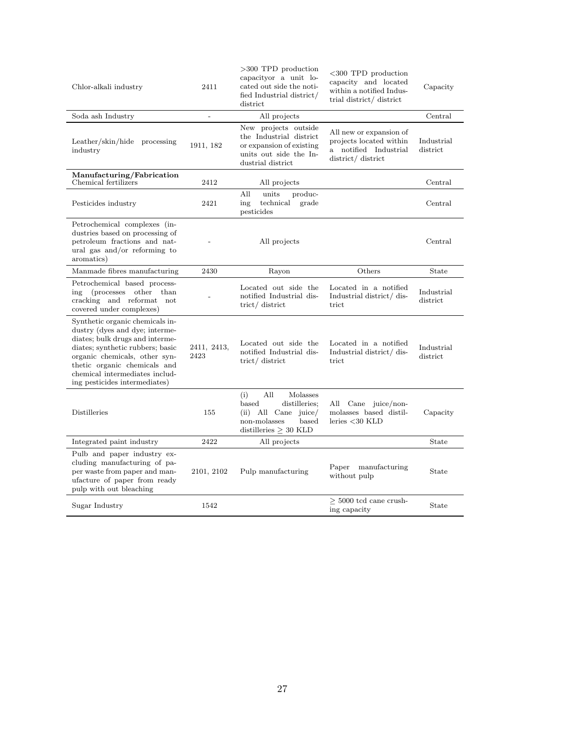| Chlor-alkali industry                                                                                                                                                                                                                                                        | 2411                | $>300$ TPD production<br>capacityor a unit lo-<br>cated out side the noti-<br>fied Industrial district/<br>district               | $<300$ TPD production<br>capacity and located<br>within a notified Indus-<br>trial district/ district | Capacity               |
|------------------------------------------------------------------------------------------------------------------------------------------------------------------------------------------------------------------------------------------------------------------------------|---------------------|-----------------------------------------------------------------------------------------------------------------------------------|-------------------------------------------------------------------------------------------------------|------------------------|
| Soda ash Industry                                                                                                                                                                                                                                                            | $\qquad \qquad -$   | All projects                                                                                                                      |                                                                                                       | Central                |
| Leather/skin/hide processing<br>industry                                                                                                                                                                                                                                     | 1911, 182           | New projects outside<br>the Industrial district<br>or expansion of existing<br>units out side the In-<br>dustrial district        | All new or expansion of<br>projects located within<br>a notified Industrial<br>district/ district     | Industrial<br>district |
| Manufacturing/Fabrication<br>Chemical fertilizers                                                                                                                                                                                                                            | 2412                | All projects                                                                                                                      |                                                                                                       | Central                |
| Pesticides industry                                                                                                                                                                                                                                                          | 2421                | All<br>units<br>produc-<br>technical<br>ing<br>grade<br>pesticides                                                                |                                                                                                       | Central                |
| Petrochemical complexes (in-<br>dustries based on processing of<br>petroleum fractions and nat-<br>ural gas and/or reforming to<br>aromatics)                                                                                                                                |                     | All projects                                                                                                                      |                                                                                                       | Central                |
| Manmade fibres manufacturing                                                                                                                                                                                                                                                 | 2430                | Rayon                                                                                                                             | Others                                                                                                | State                  |
| Petrochemical based process-<br>(processes other than<br>ing<br>cracking and reformat not<br>covered under complexes)                                                                                                                                                        |                     | Located out side the<br>notified Industrial dis-<br>trict/ district                                                               | Located in a notified<br>Industrial district/dis-<br>trict                                            | Industrial<br>district |
| Synthetic organic chemicals in-<br>dustry (dyes and dye; interme-<br>diates; bulk drugs and interme-<br>diates; synthetic rubbers; basic<br>organic chemicals, other syn-<br>thetic organic chemicals and<br>chemical intermediates includ-<br>ing pesticides intermediates) | 2411, 2413,<br>2423 | Located out side the<br>notified Industrial dis-<br>trict/ district                                                               | Located in a notified<br>Industrial district/ dis-<br>trict                                           | Industrial<br>district |
| Distilleries                                                                                                                                                                                                                                                                 | 155                 | (i)<br>All<br>Molasses<br>based<br>distilleries;<br>$(ii)$ All Cane juice/<br>non-molasses<br>based<br>distilleries $\geq$ 30 KLD | All Cane juice/non-<br>molasses based distil-<br>leries $<$ 30 KLD                                    | Capacity               |
| Integrated paint industry                                                                                                                                                                                                                                                    | 2422                | All projects                                                                                                                      |                                                                                                       | State                  |
| Pulb and paper industry ex-<br>cluding manufacturing of pa-<br>per waste from paper and man-<br>ufacture of paper from ready<br>pulp with out bleaching                                                                                                                      | 2101, 2102          | Pulp manufacturing                                                                                                                | Paper manufacturing<br>without pulp                                                                   | State                  |
| Sugar Industry                                                                                                                                                                                                                                                               | 1542                |                                                                                                                                   | $>$ 5000 tcd cane crush-<br>ing capacity                                                              | State                  |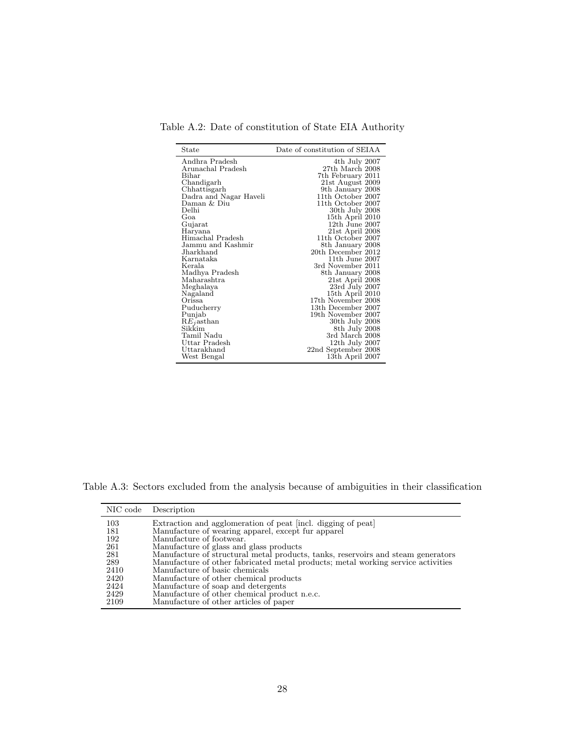Table A.2: Date of constitution of State EIA Authority

| State                  | Date of constitution of SEIAA |
|------------------------|-------------------------------|
| Andhra Pradesh         | 4th July 2007                 |
| Arunachal Pradesh      | 27th March 2008               |
| Bihar                  | 7th February 2011             |
| Chandigarh             | 21st August 2009              |
| Chhattisgarh           | 9th January 2008              |
| Dadra and Nagar Haveli | 11th October 2007             |
| Daman & Diu            | 11th October 2007             |
| Delhi                  | 30th July 2008                |
| Goa                    | 15th April 2010               |
| Gujarat                | $12th$ June $2007$            |
| Haryana                | 21st April 2008               |
| Himachal Pradesh       | 11th October 2007             |
| Jammu and Kashmir      | 8th January 2008              |
| Jharkhand              | 20th December 2012            |
| Karnataka              | $11th$ June $2007$            |
| Kerala                 | 3rd November 2011             |
| Madhya Pradesh         | 8th January 2008              |
| Maharashtra            | 21st April 2008               |
| Meghalaya              | 23rd July 2007                |
| Nagaland               | 15th April 2010               |
| Orissa                 | 17th November 2008            |
| Puducherry             | 13th December 2007            |
| Punjab                 | 19th November 2007            |
| $REj$ asthan           | 30th July 2008                |
| Sikkim                 | 8th July 2008                 |
| Tamil Nadu             | 3rd March 2008                |
| Uttar Pradesh          | 12th July 2007                |
| Uttarakhand            | 22nd September 2008           |
| West Bengal            | 13th April 2007               |

Table A.3: Sectors excluded from the analysis because of ambiguities in their classification

|      | NIC code Description                                                             |
|------|----------------------------------------------------------------------------------|
| 103  | Extraction and agglomeration of peat [incl. digging of peat]                     |
| 181  | Manufacture of wearing apparel, except fur apparel                               |
| 192  | Manufacture of footwear.                                                         |
| 261  | Manufacture of glass and glass products                                          |
| 281  | Manufacture of structural metal products, tanks, reservoirs and steam generators |
| 289  | Manufacture of other fabricated metal products; metal working service activities |
| 2410 | Manufacture of basic chemicals                                                   |
| 2420 | Manufacture of other chemical products                                           |
| 2424 | Manufacture of soap and detergents                                               |
| 2429 | Manufacture of other chemical product n.e.c.                                     |
| 2109 | Manufacture of other articles of paper                                           |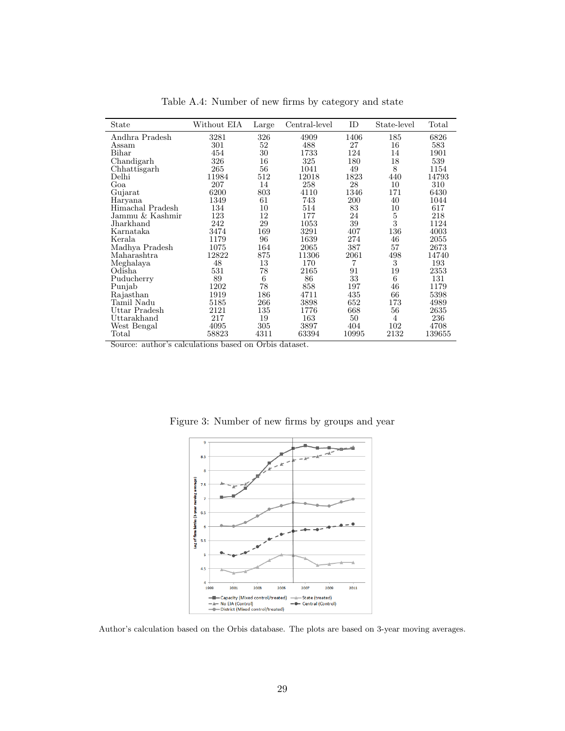| State            | Without EIA | Large | Central-level | ID        | State-level | Total  |
|------------------|-------------|-------|---------------|-----------|-------------|--------|
| Andhra Pradesh   | 3281        | 326   | 4909          | 1406      | 185         | 6826   |
| Assam            | 301         | 52    | 488           | 27        | 16          | 583    |
| Bihar            | 454         | 30    | 1733          | 124       | 14          | 1901   |
| Chandigarh       | 326         | 16    | 325           | 180       | 18          | 539    |
| Chhattisgarh     | 265         | 56    | 1041          | 49        | 8           | 1154   |
| Delhi            | 11984       | 512   | 12018         | 1823      | 440         | 14793  |
| Goa              | 207         | 14    | 258           | 28        | 10          | 310    |
| Gujarat          | 6200        | 803   | 4110          | 1346      | 171         | 6430   |
| Haryana          | 1349        | 61    | 743           | 200       | 40          | 1044   |
| Himachal Pradesh | 134         | 10    | 514           | 83        | 10          | 617    |
| Jammu & Kashmir  | 123         | 12    | 177           | 24        | $\bf 5$     | 218    |
| Jharkhand        | 242         | 29    | 1053          | 39        | 3           | 1124   |
| Karnataka        | 3474        | 169   | 3291          | 407       | 136         | 4003   |
| Kerala           | 1179        | 96    | 1639          | 274       | 46          | 2055   |
| Madhya Pradesh   | 1075        | 164   | 2065          | 387       | 57          | 2673   |
| Maharashtra      | 12822       | 875   | 11306         | $\; 2061$ | 498         | 14740  |
| Meghalaya        | 48          | 13    | 170           | 7         | 3           | 193    |
| Odisha           | 531         | 78    | 2165          | 91        | 19          | 2353   |
| Puducherry       | 89          | 6     | 86            | 33        | 6           | 131    |
| Punjab           | 1202        | 78    | 858           | 197       | 46          | 1179   |
| Rajasthan        | 1919        | 186   | 4711          | 435       | 66          | 5398   |
| Tamil Nadu       | 5185        | 266   | 3898          | 652       | 173         | 4989   |
| Uttar Pradesh    | 2121        | 135   | 1776          | 668       | 56          | 2635   |
| Uttarakhand      | 217         | 19    | 163           | 50        | 4           | 236    |
| West Bengal      | 4095        | 305   | 3897          | 404       | 102         | 4708   |
| Total            | 58823       | 4311  | 63394         | 10995     | 2132        | 139655 |

Table A.4: Number of new firms by category and state

Source: author's calculations based on Orbis dataset.



Figure 3: Number of new firms by groups and year

Author's calculation based on the Orbis database. The plots are based on 3-year moving averages.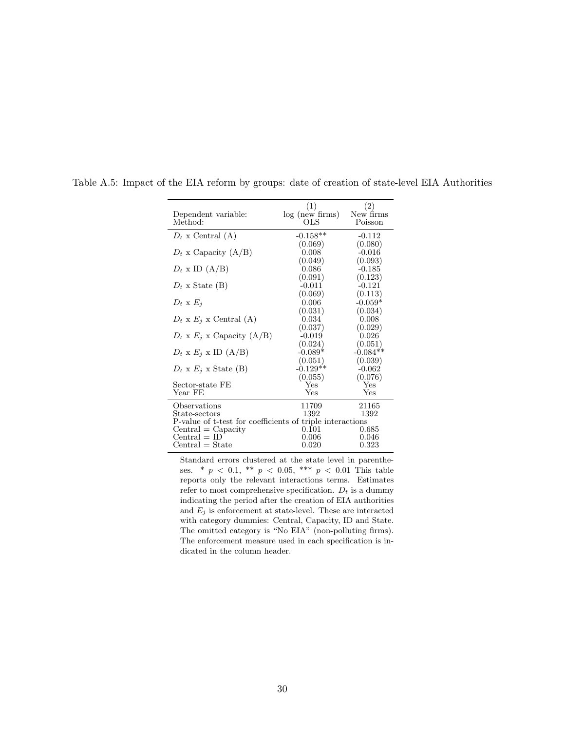|                                                           | (1)             | (2)        |  |  |  |
|-----------------------------------------------------------|-----------------|------------|--|--|--|
| Dependent variable:                                       | log (new firms) | New firms  |  |  |  |
| Method:                                                   | OLS             | Poisson    |  |  |  |
|                                                           |                 |            |  |  |  |
| $D_t$ x Central (A)                                       | $-0.158**$      | $-0.112$   |  |  |  |
|                                                           | (0.069)         | (0.080)    |  |  |  |
| $D_t$ x Capacity (A/B)                                    | 0.008           | $-0.016$   |  |  |  |
|                                                           | (0.049)         | (0.093)    |  |  |  |
| $D_t$ x ID $(A/B)$                                        | 0.086           | $-0.185$   |  |  |  |
|                                                           | (0.091)         | (0.123)    |  |  |  |
| $D_t$ x State (B)                                         | $-0.011$        | $-0.121$   |  |  |  |
|                                                           | (0.069)         | (0.113)    |  |  |  |
| $D_t \times E_i$                                          | 0.006           | $-0.059*$  |  |  |  |
|                                                           | (0.031)         | (0.034)    |  |  |  |
| $D_t$ x $E_j$ x Central (A)                               | 0.034           | 0.008      |  |  |  |
|                                                           | (0.037)         | (0.029)    |  |  |  |
| $D_t$ x $E_i$ x Capacity (A/B)                            | $-0.019$        | 0.026      |  |  |  |
|                                                           | (0.024)         | (0.051)    |  |  |  |
| $D_t$ x $E_j$ x ID (A/B)                                  | $-0.089*$       | $-0.084**$ |  |  |  |
|                                                           | (0.051)         | (0.039)    |  |  |  |
| $D_t \times E_i \times$ State (B)                         | $-0.129**$      | $-0.062$   |  |  |  |
|                                                           | (0.055)         | (0.076)    |  |  |  |
| Sector-state FE                                           | Yes             | Yes        |  |  |  |
| Year FE                                                   | Yes             | Yes        |  |  |  |
| Observations                                              | 11709           | 21165      |  |  |  |
| State-sectors                                             | 1392            | 1392       |  |  |  |
| P-value of t-test for coefficients of triple interactions |                 |            |  |  |  |
| $Central = Capacity$                                      | $0.101\,$       | 0.685      |  |  |  |
| $Central = ID$                                            | 0.006           | $0.046\,$  |  |  |  |
| $\text{Central} = \text{State}$                           | 0.020           | 0.323      |  |  |  |
|                                                           |                 |            |  |  |  |

Table A.5: Impact of the EIA reform by groups: date of creation of state-level EIA Authorities

Standard errors clustered at the state level in parentheses. \*  $p \, < 0.1$ , \*\*  $p \, < 0.05$ , \*\*\*  $p \, < 0.01$  This table reports only the relevant interactions terms. Estimates refer to most comprehensive specification.  $D_t$  is a dummy indicating the period after the creation of EIA authorities and  $E_j$  is enforcement at state-level. These are interacted with category dummies: Central, Capacity, ID and State. The omitted category is "No EIA" (non-polluting firms). The enforcement measure used in each specification is indicated in the column header.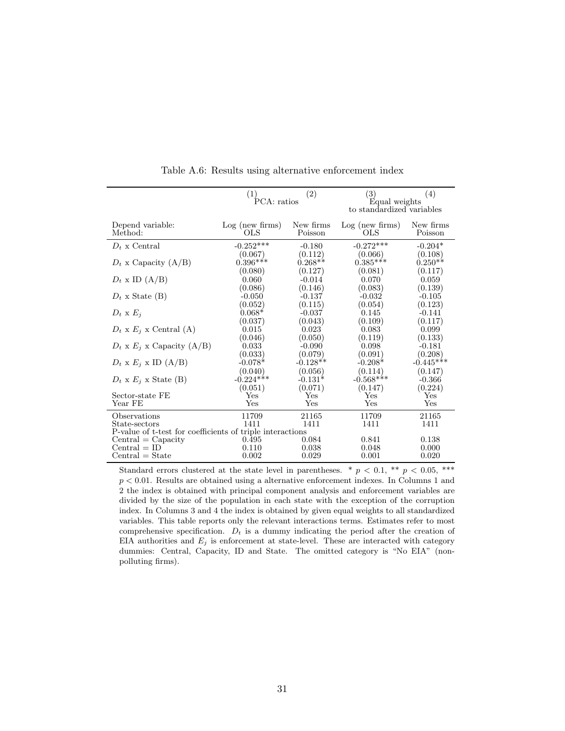|                                                                            | (1)<br>(2)<br>PCA: ratios      |                                | $\left( 3\right)$<br>(4)<br>Equal weights |                                |
|----------------------------------------------------------------------------|--------------------------------|--------------------------------|-------------------------------------------|--------------------------------|
|                                                                            |                                |                                | to standardized variables                 |                                |
| Depend variable:<br>Method:                                                | $Log$ (new firms)<br>OLS       | New firms<br>Poisson           | Log (new firms)<br>OLS                    | New firms<br>Poisson           |
| $D_t$ x Central                                                            | $-0.252***$                    | $-0.180$                       | $-0.272***$                               | $-0.204*$                      |
| $D_t$ x Capacity (A/B)                                                     | (0.067)<br>$0.396***$          | (0.112)<br>$0.268**$           | (0.066)<br>$0.385***$                     | (0.108)<br>$0.250**$           |
| $D_t$ x ID $(A/B)$                                                         | (0.080)<br>0.060<br>(0.086)    | (0.127)<br>$-0.014$<br>(0.146) | (0.081)<br>0.070<br>(0.083)               | (0.117)<br>0.059<br>(0.139)    |
| $D_t$ x State (B)                                                          | $-0.050$                       | $-0.137$                       | $-0.032$                                  | $-0.105$                       |
| $D_t \times E_i$                                                           | (0.052)<br>$0.068*$<br>(0.037) | (0.115)<br>$-0.037$<br>(0.043) | (0.054)<br>0.145<br>(0.109)               | (0.123)<br>$-0.141$<br>(0.117) |
| $D_t$ x $E_j$ x Central (A)                                                | 0.015                          | 0.023                          | 0.083                                     | 0.099                          |
| $D_t$ x $E_i$ x Capacity (A/B)                                             | (0.046)<br>0.033               | (0.050)<br>$-0.090$            | (0.119)<br>0.098                          | (0.133)<br>$-0.181$            |
| $D_t$ x $E_i$ x ID (A/B)                                                   | (0.033)<br>$-0.078*$           | (0.079)<br>$-0.128**$          | (0.091)<br>$-0.208*$                      | (0.208)<br>$-0.445***$         |
| $D_t \times E_i \times$ State (B)                                          | (0.040)<br>$-0.224***$         | (0.056)<br>$-0.131*$           | (0.114)<br>$-0.568***$                    | (0.147)<br>$-0.366$            |
| Sector-state FE                                                            | (0.051)<br>Yes                 | (0.071)<br>$_{\rm Yes}$        | (0.147)<br>$_{\rm Yes}$                   | (0.224)<br>$_{\rm Yes}$        |
| Year FE                                                                    | $_{\rm Yes}$                   | $_{\rm Yes}$                   | $_{\rm Yes}$                              | $_{\rm Yes}$                   |
| Observations                                                               | 11709                          | 21165                          | 11709                                     | 21165                          |
| State-sectors<br>P-value of t-test for coefficients of triple interactions | 1411                           | 1411                           | 1411                                      | 1411                           |
| $Central = Capacity$                                                       | 0.495                          | 0.084                          | 0.841                                     | 0.138                          |
| $Central = ID$                                                             | 0.110                          | 0.038                          | 0.048                                     | 0.000                          |
| $Central = State$                                                          | 0.002                          | 0.029                          | 0.001                                     | 0.020                          |

Table A.6: Results using alternative enforcement index

Standard errors clustered at the state level in parentheses. \*  $p < 0.1$ , \*\*  $p < 0.05$ , \*\*\*  $p < 0.01$ . Results are obtained using a alternative enforcement indexes. In Columns 1 and 2 the index is obtained with principal component analysis and enforcement variables are divided by the size of the population in each state with the exception of the corruption index. In Columns 3 and 4 the index is obtained by given equal weights to all standardized variables. This table reports only the relevant interactions terms. Estimates refer to most comprehensive specification.  $D_t$  is a dummy indicating the period after the creation of EIA authorities and  $E_j$  is enforcement at state-level. These are interacted with category dummies: Central, Capacity, ID and State. The omitted category is "No EIA" (nonpolluting firms).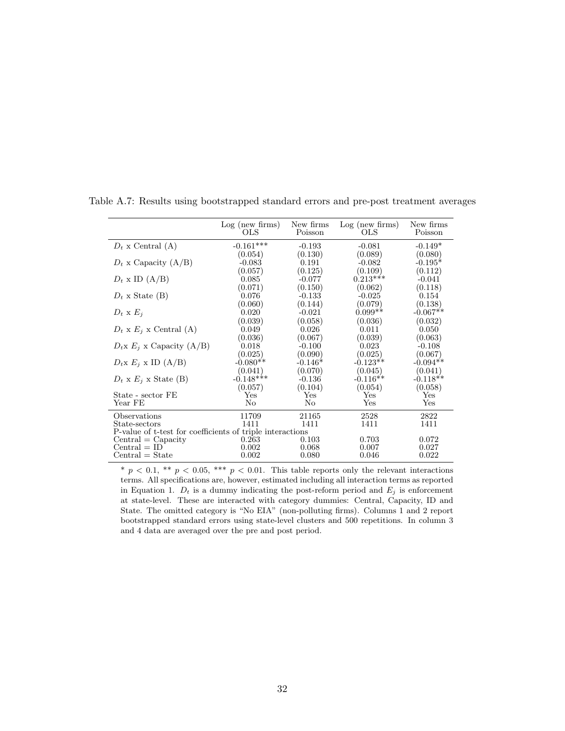|                                                           | Log (new firms)<br>OLS. | New firms<br>Poisson | $Log$ (new firms)<br>OLS. | New firms<br>Poisson |  |  |
|-----------------------------------------------------------|-------------------------|----------------------|---------------------------|----------------------|--|--|
| $D_t$ x Central (A)                                       | $-0.161***$             | $-0.193$             | $-0.081$                  | $-0.149*$            |  |  |
|                                                           | (0.054)                 | (0.130)              | (0.089)                   | (0.080)              |  |  |
| $D_t$ x Capacity (A/B)                                    | $-0.083$                | 0.191                | $-0.082$                  | $-0.195*$            |  |  |
|                                                           | (0.057)                 | (0.125)              | (0.109)                   | (0.112)              |  |  |
| $D_t$ x ID $(A/B)$                                        | 0.085                   | $-0.077$             | $0.213***$                | $-0.041$             |  |  |
|                                                           | (0.071)                 | (0.150)              | (0.062)                   | (0.118)              |  |  |
| $D_t$ x State (B)                                         | 0.076                   | $-0.133$             | $-0.025$                  | 0.154                |  |  |
|                                                           | (0.060)                 | (0.144)              | (0.079)                   | (0.138)              |  |  |
| $D_t \times E_i$                                          | 0.020                   | $-0.021$             | $0.099**$                 | $-0.067**$           |  |  |
|                                                           | (0.039)                 | (0.058)              | (0.036)                   | (0.032)              |  |  |
| $D_t \times E_i \times$ Central (A)                       | 0.049                   | 0.026                | 0.011                     | 0.050                |  |  |
|                                                           | (0.036)                 | (0.067)              | (0.039)                   | (0.063)              |  |  |
| $D_t$ x $E_i$ x Capacity (A/B)                            | 0.018                   | $-0.100$             | 0.023                     | $-0.108$             |  |  |
|                                                           | (0.025)                 | (0.090)              | (0.025)                   | (0.067)              |  |  |
| $D_t$ x $E_i$ x ID (A/B)                                  | $-0.080**$              | $-0.146*$            | $-0.123**$                | $-0.094**$           |  |  |
|                                                           | (0.041)                 | (0.070)              | (0.045)                   | (0.041)              |  |  |
| $D_t \times E_i \times$ State (B)                         | $-0.148***$             | $-0.136$             | $-0.116**$                | $-0.118**$           |  |  |
|                                                           | (0.057)                 | (0.104)              | (0.054)                   | (0.058)              |  |  |
| State - sector FE                                         | Yes                     | Yes                  | Yes                       | Yes                  |  |  |
| Year FE                                                   | No                      | No                   | Yes                       | Yes                  |  |  |
| Observations                                              | 11709                   | 21165                | 2528                      | 2822                 |  |  |
| State-sectors                                             | 1411                    | 1411                 | 1411                      | 1411                 |  |  |
| P-value of t-test for coefficients of triple interactions |                         |                      |                           |                      |  |  |
| $Central = Capacity$                                      | 0.263                   | 0.103                | 0.703                     | 0.072                |  |  |
| $Central = ID$                                            | 0.002                   | 0.068                | 0.007                     | 0.027                |  |  |
| $Central = State$                                         | 0.002                   | 0.080                | 0.046                     | 0.022                |  |  |

Table A.7: Results using bootstrapped standard errors and pre-post treatment averages

\*  $p < 0.1$ , \*\*  $p < 0.05$ , \*\*\*  $p < 0.01$ . This table reports only the relevant interactions terms. All specifications are, however, estimated including all interaction terms as reported in Equation 1.  $D_t$  is a dummy indicating the post-reform period and  $E_j$  is enforcement at state-level. These are interacted with category dummies: Central, Capacity, ID and State. The omitted category is "No EIA" (non-polluting firms). Columns 1 and 2 report bootstrapped standard errors using state-level clusters and 500 repetitions. In column 3 and 4 data are averaged over the pre and post period.